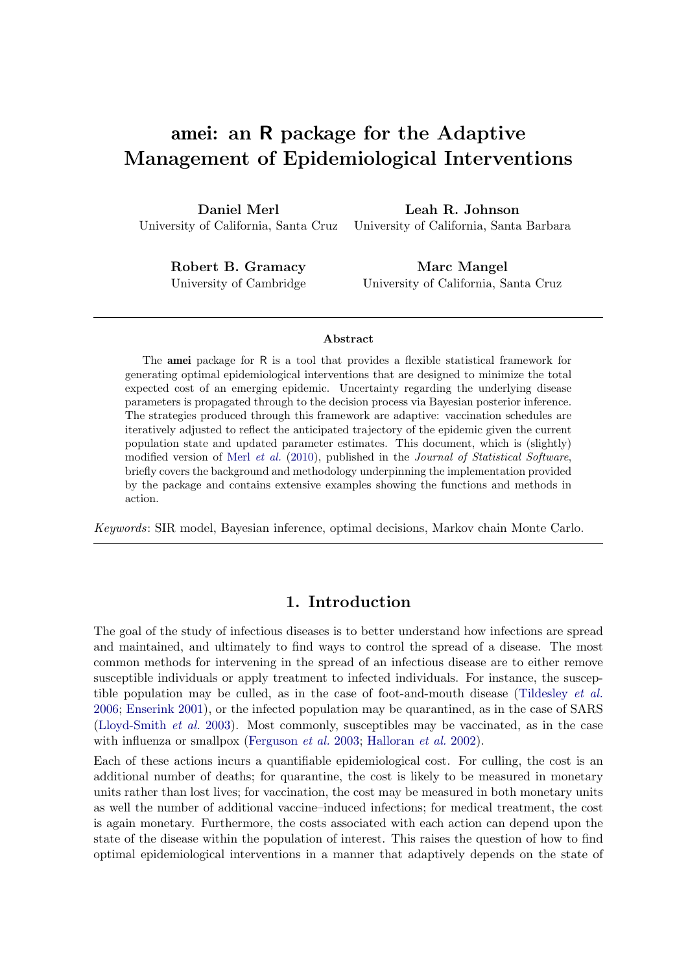# amei: an R package for the Adaptive Management of Epidemiological Interventions

Daniel Merl University of California, Santa Cruz

Leah R. Johnson University of California, Santa Barbara

Robert B. Gramacy University of Cambridge

Marc Mangel University of California, Santa Cruz

#### Abstract

The amei package for R is a tool that provides a flexible statistical framework for generating optimal epidemiological interventions that are designed to minimize the total expected cost of an emerging epidemic. Uncertainty regarding the underlying disease parameters is propagated through to the decision process via Bayesian posterior inference. The strategies produced through this framework are adaptive: vaccination schedules are iteratively adjusted to reflect the anticipated trajectory of the epidemic given the current population state and updated parameter estimates. This document, which is (slightly) modified version of Merl [et al.](#page-31-0) [\(2010\)](#page-31-0), published in the Journal of Statistical Software, briefly covers the background and methodology underpinning the implementation provided by the package and contains extensive examples showing the functions and methods in action.

Keywords: SIR model, Bayesian inference, optimal decisions, Markov chain Monte Carlo.

# 1. Introduction

The goal of the study of infectious diseases is to better understand how infections are spread and maintained, and ultimately to find ways to control the spread of a disease. The most common methods for intervening in the spread of an infectious disease are to either remove susceptible individuals or apply treatment to infected individuals. For instance, the susceptible population may be culled, as in the case of foot-and-mouth disease [\(Tildesley](#page-32-0) et al. [2006;](#page-32-0) [Enserink](#page-30-0) [2001\)](#page-30-0), or the infected population may be quarantined, as in the case of SARS [\(Lloyd-Smith](#page-31-1) et al. [2003\)](#page-31-1). Most commonly, susceptibles may be vaccinated, as in the case with influenza or smallpox [\(Ferguson](#page-30-1) *et al.* [2003;](#page-30-1) [Halloran](#page-30-2) *et al.* [2002\)](#page-30-2).

Each of these actions incurs a quantifiable epidemiological cost. For culling, the cost is an additional number of deaths; for quarantine, the cost is likely to be measured in monetary units rather than lost lives; for vaccination, the cost may be measured in both monetary units as well the number of additional vaccine–induced infections; for medical treatment, the cost is again monetary. Furthermore, the costs associated with each action can depend upon the state of the disease within the population of interest. This raises the question of how to find optimal epidemiological interventions in a manner that adaptively depends on the state of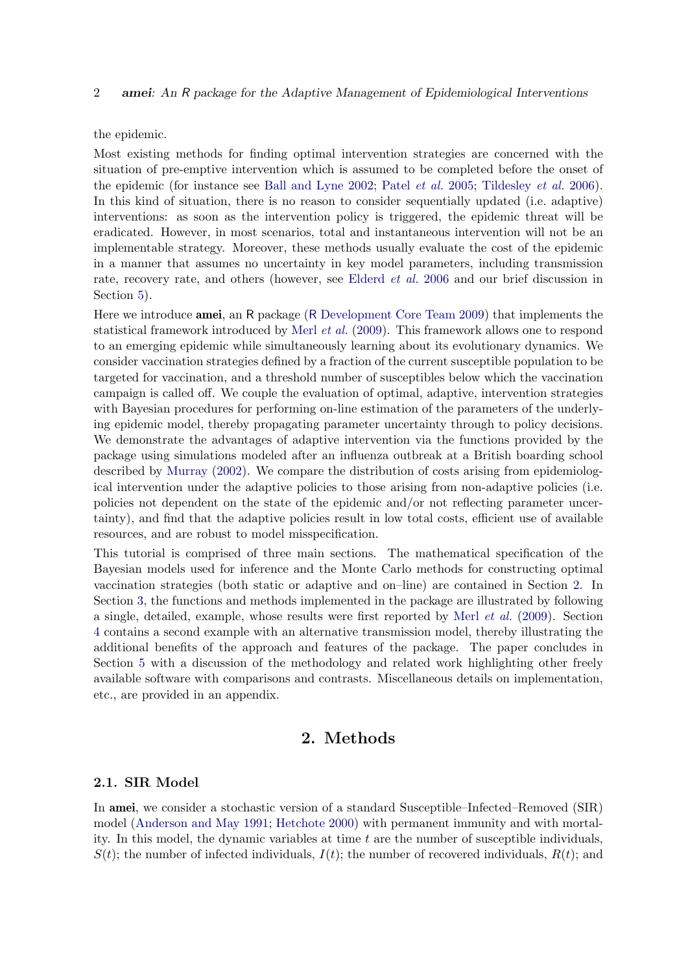the epidemic.

Most existing methods for finding optimal intervention strategies are concerned with the situation of pre-emptive intervention which is assumed to be completed before the onset of the epidemic (for instance see [Ball and Lyne](#page-30-3) [2002;](#page-30-3) Patel *[et al.](#page-31-2)* [2005;](#page-31-2) [Tildesley](#page-32-0) *et al.* [2006\)](#page-32-0). In this kind of situation, there is no reason to consider sequentially updated (i.e. adaptive) interventions: as soon as the intervention policy is triggered, the epidemic threat will be eradicated. However, in most scenarios, total and instantaneous intervention will not be an implementable strategy. Moreover, these methods usually evaluate the cost of the epidemic in a manner that assumes no uncertainty in key model parameters, including transmission rate, recovery rate, and others (however, see [Elderd](#page-30-4) *et al.* [2006](#page-30-4) and our brief discussion in Section [5\)](#page-27-0).

Here we introduce amei, an R package (R [Development Core Team](#page-31-3) [2009\)](#page-31-3) that implements the statistical framework introduced by Merl [et al.](#page-31-4) [\(2009\)](#page-31-4). This framework allows one to respond to an emerging epidemic while simultaneously learning about its evolutionary dynamics. We consider vaccination strategies defined by a fraction of the current susceptible population to be targeted for vaccination, and a threshold number of susceptibles below which the vaccination campaign is called off. We couple the evaluation of optimal, adaptive, intervention strategies with Bayesian procedures for performing on-line estimation of the parameters of the underlying epidemic model, thereby propagating parameter uncertainty through to policy decisions. We demonstrate the advantages of adaptive intervention via the functions provided by the package using simulations modeled after an influenza outbreak at a British boarding school described by [Murray](#page-31-5) [\(2002\)](#page-31-5). We compare the distribution of costs arising from epidemiological intervention under the adaptive policies to those arising from non-adaptive policies (i.e. policies not dependent on the state of the epidemic and/or not reflecting parameter uncertainty), and find that the adaptive policies result in low total costs, efficient use of available resources, and are robust to model misspecification.

This tutorial is comprised of three main sections. The mathematical specification of the Bayesian models used for inference and the Monte Carlo methods for constructing optimal vaccination strategies (both static or adaptive and on–line) are contained in Section [2.](#page-1-0) In Section [3,](#page-6-0) the functions and methods implemented in the package are illustrated by following a single, detailed, example, whose results were first reported by Merl [et al.](#page-31-4) [\(2009\)](#page-31-4). Section [4](#page-18-0) contains a second example with an alternative transmission model, thereby illustrating the additional benefits of the approach and features of the package. The paper concludes in Section [5](#page-27-0) with a discussion of the methodology and related work highlighting other freely available software with comparisons and contrasts. Miscellaneous details on implementation, etc., are provided in an appendix.

# 2. Methods

# <span id="page-1-1"></span><span id="page-1-0"></span>2.1. SIR Model

In amei, we consider a stochastic version of a standard Susceptible–Infected–Removed (SIR) model [\(Anderson and May](#page-30-5) [1991;](#page-30-5) [Hetchote](#page-30-6) [2000\)](#page-30-6) with permanent immunity and with mortality. In this model, the dynamic variables at time  $t$  are the number of susceptible individuals,  $S(t)$ ; the number of infected individuals,  $I(t)$ ; the number of recovered individuals,  $R(t)$ ; and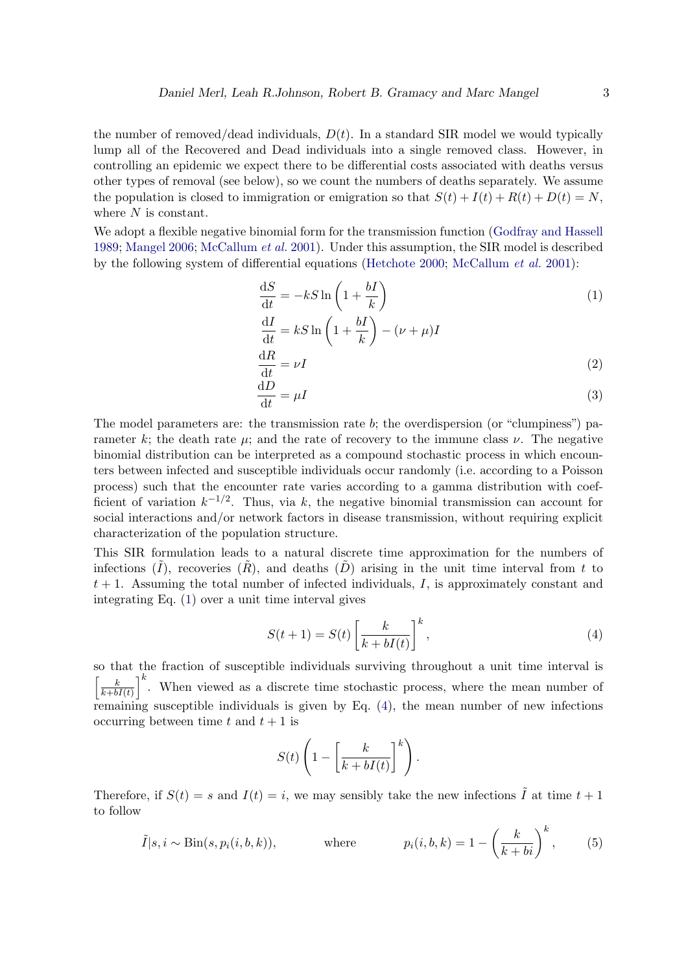the number of removed/dead individuals,  $D(t)$ . In a standard SIR model we would typically lump all of the Recovered and Dead individuals into a single removed class. However, in controlling an epidemic we expect there to be differential costs associated with deaths versus other types of removal (see below), so we count the numbers of deaths separately. We assume the population is closed to immigration or emigration so that  $S(t) + I(t) + R(t) + D(t) = N$ , where  $N$  is constant.

We adopt a flexible negative binomial form for the transmission function [\(Godfray and Hassell](#page-30-7) [1989;](#page-30-7) [Mangel](#page-31-6) [2006;](#page-31-6) [McCallum](#page-31-7) et al. [2001\)](#page-31-7). Under this assumption, the SIR model is described by the following system of differential equations [\(Hetchote](#page-30-6) [2000;](#page-30-6) [McCallum](#page-31-7) et al. [2001\)](#page-31-7):

<span id="page-2-0"></span>
$$
\frac{dS}{dt} = -kS \ln\left(1 + \frac{bI}{k}\right)
$$
  
\n
$$
\frac{dI}{dt} = kS \ln\left(1 + \frac{bI}{k}\right) - (\nu + \mu)I
$$
\n(1)

<span id="page-2-3"></span><span id="page-2-2"></span>
$$
\frac{\mathrm{d}R}{\mathrm{d}t} = \nu I \tag{2}
$$

$$
\frac{\mathrm{d}D}{\mathrm{d}t} = \mu I \tag{3}
$$

The model parameters are: the transmission rate b; the overdispersion (or "clumpiness") parameter k; the death rate  $\mu$ ; and the rate of recovery to the immune class  $\nu$ . The negative binomial distribution can be interpreted as a compound stochastic process in which encounters between infected and susceptible individuals occur randomly (i.e. according to a Poisson process) such that the encounter rate varies according to a gamma distribution with coefficient of variation  $k^{-1/2}$ . Thus, via k, the negative binomial transmission can account for social interactions and/or network factors in disease transmission, without requiring explicit characterization of the population structure.

This SIR formulation leads to a natural discrete time approximation for the numbers of infections  $(\tilde{I})$ , recoveries  $(\tilde{R})$ , and deaths  $(\tilde{D})$  arising in the unit time interval from t to  $t + 1$ . Assuming the total number of infected individuals, I, is approximately constant and integrating Eq. [\(1\)](#page-2-0) over a unit time interval gives

<span id="page-2-1"></span>
$$
S(t+1) = S(t) \left[ \frac{k}{k + bI(t)} \right]^k,
$$
\n(4)

so that the fraction of susceptible individuals surviving throughout a unit time interval is  $\left[\begin{array}{c}k\end{array}\right]$  $\left(\frac{k}{k+bI(t)}\right)^k$ . When viewed as a discrete time stochastic process, where the mean number of remaining susceptible individuals is given by Eq. [\(4\)](#page-2-1), the mean number of new infections occurring between time t and  $t + 1$  is

<span id="page-2-4"></span>
$$
S(t)\left(1-\left[\frac{k}{k+bI(t)}\right]^k\right).
$$

Therefore, if  $S(t) = s$  and  $I(t) = i$ , we may sensibly take the new infections  $\tilde{I}$  at time  $t + 1$ to follow

$$
\tilde{I}|s, i \sim Bin(s, p_i(i, b, k)), \qquad \text{where} \qquad p_i(i, b, k) = 1 - \left(\frac{k}{k + bi}\right)^k, \qquad (5)
$$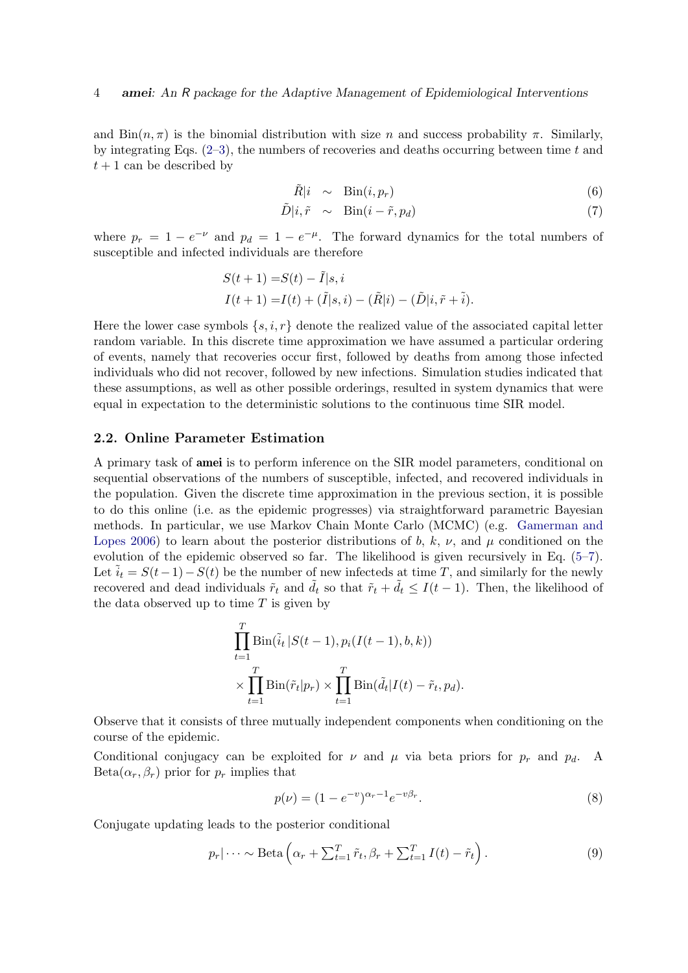and  $\text{Bin}(n, \pi)$  is the binomial distribution with size n and success probability  $\pi$ . Similarly, by integrating Eqs.  $(2-3)$  $(2-3)$ , the numbers of recoveries and deaths occurring between time t and  $t+1$  can be described by

<span id="page-3-0"></span>
$$
\tilde{R}|i \sim \text{Bin}(i, p_r) \tag{6}
$$

$$
\tilde{D}|i, \tilde{r} \sim \text{Bin}(i - \tilde{r}, p_d) \tag{7}
$$

where  $p_r = 1 - e^{-\nu}$  and  $p_d = 1 - e^{-\mu}$ . The forward dynamics for the total numbers of susceptible and infected individuals are therefore

$$
S(t + 1) = S(t) - \tilde{I}|s, i
$$
  

$$
I(t + 1) = I(t) + (\tilde{I}|s, i) - (\tilde{R}|i) - (\tilde{D}|i, \tilde{r} + \tilde{i}).
$$

Here the lower case symbols  $\{s, i, r\}$  denote the realized value of the associated capital letter random variable. In this discrete time approximation we have assumed a particular ordering of events, namely that recoveries occur first, followed by deaths from among those infected individuals who did not recover, followed by new infections. Simulation studies indicated that these assumptions, as well as other possible orderings, resulted in system dynamics that were equal in expectation to the deterministic solutions to the continuous time SIR model.

#### <span id="page-3-3"></span>2.2. Online Parameter Estimation

A primary task of amei is to perform inference on the SIR model parameters, conditional on sequential observations of the numbers of susceptible, infected, and recovered individuals in the population. Given the discrete time approximation in the previous section, it is possible to do this online (i.e. as the epidemic progresses) via straightforward parametric Bayesian methods. In particular, we use Markov Chain Monte Carlo (MCMC) (e.g. [Gamerman and](#page-30-8) [Lopes](#page-30-8) [2006\)](#page-30-8) to learn about the posterior distributions of b, k,  $\nu$ , and  $\mu$  conditioned on the evolution of the epidemic observed so far. The likelihood is given recursively in Eq. [\(5–](#page-2-4)[7\)](#page-3-0). Let  $\tilde{i}_t = S(t-1) - S(t)$  be the number of new infecteds at time T, and similarly for the newly recovered and dead individuals  $\tilde{r}_t$  and  $\tilde{d}_t$  so that  $\tilde{r}_t + \tilde{d}_t \leq I(t-1)$ . Then, the likelihood of the data observed up to time  $T$  is given by

$$
\prod_{t=1}^{T} \text{Bin}(\tilde{i}_t | S(t-1), p_i(I(t-1), b, k))
$$

$$
\times \prod_{t=1}^{T} \text{Bin}(\tilde{r}_t | p_r) \times \prod_{t=1}^{T} \text{Bin}(\tilde{d}_t | I(t) - \tilde{r}_t, p_d).
$$

Observe that it consists of three mutually independent components when conditioning on the course of the epidemic.

Conditional conjugacy can be exploited for  $\nu$  and  $\mu$  via beta priors for  $p_r$  and  $p_d$ . A  $Beta(\alpha_r, \beta_r)$  prior for  $p_r$  implies that

<span id="page-3-2"></span><span id="page-3-1"></span>
$$
p(\nu) = (1 - e^{-\nu})^{\alpha_r - 1} e^{-\nu \beta_r}.
$$
\n(8)

Conjugate updating leads to the posterior conditional

$$
p_r|\cdots \sim \text{Beta}\left(\alpha_r + \sum_{t=1}^T \tilde{r}_t, \beta_r + \sum_{t=1}^T I(t) - \tilde{r}_t\right).
$$
\n(9)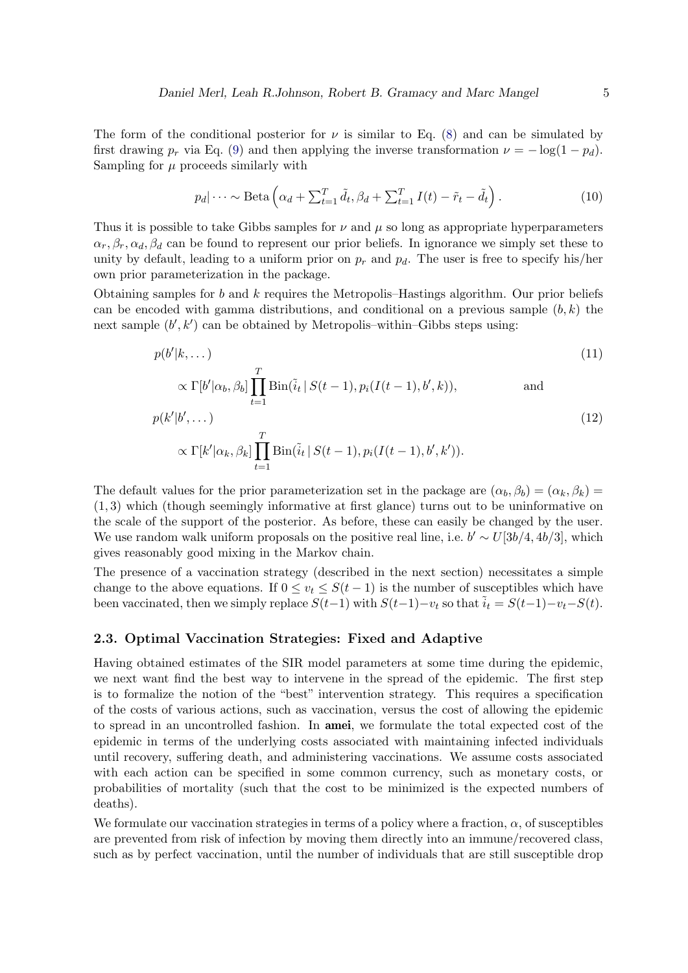The form of the conditional posterior for  $\nu$  is similar to Eq. [\(8\)](#page-3-1) and can be simulated by first drawing  $p_r$  via Eq. [\(9\)](#page-3-2) and then applying the inverse transformation  $\nu = -\log(1 - p_d)$ . Sampling for  $\mu$  proceeds similarly with

$$
p_d|\cdots \sim \text{Beta}\left(\alpha_d + \sum_{t=1}^T \tilde{d}_t, \beta_d + \sum_{t=1}^T I(t) - \tilde{r}_t - \tilde{d}_t\right).
$$
 (10)

Thus it is possible to take Gibbs samples for  $\nu$  and  $\mu$  so long as appropriate hyperparameters  $\alpha_r, \beta_r, \alpha_d, \beta_d$  can be found to represent our prior beliefs. In ignorance we simply set these to unity by default, leading to a uniform prior on  $p_r$  and  $p_d$ . The user is free to specify his/her own prior parameterization in the package.

Obtaining samples for b and k requires the Metropolis–Hastings algorithm. Our prior beliefs can be encoded with gamma distributions, and conditional on a previous sample  $(b, k)$  the next sample  $(b', k')$  can be obtained by Metropolis-within-Gibbs steps using:

$$
p(b'|k, \dots) \tag{11}
$$

$$
\propto \Gamma[b'|\alpha_b, \beta_b] \prod_{t=1} \text{Bin}(\tilde{i}_t | S(t-1), p_i(I(t-1), b', k)),
$$
 and  

$$
p(k'|b', \dots)
$$
 (12)

$$
\propto \Gamma[k'|\alpha_k, \beta_k] \prod_{t=1}^T \text{Bin}(\tilde{i}_t | S(t-1), p_i(I(t-1), b', k')).
$$

The default values for the prior parameterization set in the package are  $(\alpha_b, \beta_b) = (\alpha_k, \beta_k)$ (1, 3) which (though seemingly informative at first glance) turns out to be uninformative on the scale of the support of the posterior. As before, these can easily be changed by the user. We use random walk uniform proposals on the positive real line, i.e.  $b' \sim U[3b/4, 4b/3]$ , which gives reasonably good mixing in the Markov chain.

The presence of a vaccination strategy (described in the next section) necessitates a simple change to the above equations. If  $0 \le v_t \le S(t-1)$  is the number of susceptibles which have been vaccinated, then we simply replace  $S(t-1)$  with  $S(t-1)-v_t$  so that  $\tilde{i}_t = S(t-1)-v_t-S(t)$ .

#### <span id="page-4-0"></span>2.3. Optimal Vaccination Strategies: Fixed and Adaptive

Having obtained estimates of the SIR model parameters at some time during the epidemic, we next want find the best way to intervene in the spread of the epidemic. The first step is to formalize the notion of the "best" intervention strategy. This requires a specification of the costs of various actions, such as vaccination, versus the cost of allowing the epidemic to spread in an uncontrolled fashion. In amei, we formulate the total expected cost of the epidemic in terms of the underlying costs associated with maintaining infected individuals until recovery, suffering death, and administering vaccinations. We assume costs associated with each action can be specified in some common currency, such as monetary costs, or probabilities of mortality (such that the cost to be minimized is the expected numbers of deaths).

We formulate our vaccination strategies in terms of a policy where a fraction,  $\alpha$ , of susceptibles are prevented from risk of infection by moving them directly into an immune/recovered class, such as by perfect vaccination, until the number of individuals that are still susceptible drop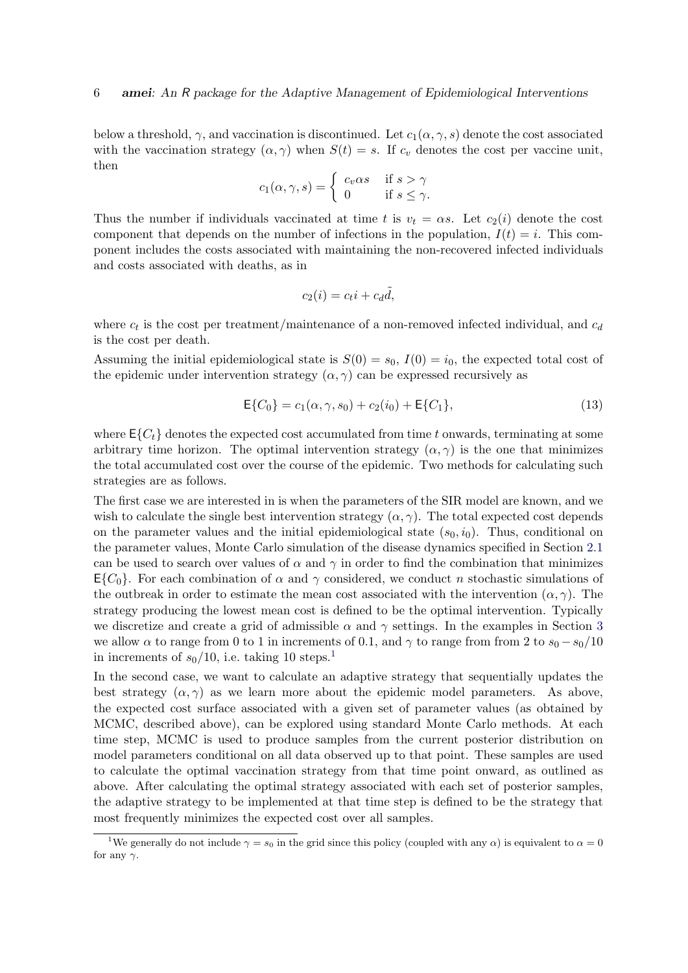below a threshold,  $\gamma$ , and vaccination is discontinued. Let  $c_1(\alpha, \gamma, s)$  denote the cost associated with the vaccination strategy  $(\alpha, \gamma)$  when  $S(t) = s$ . If  $c_v$  denotes the cost per vaccine unit, then

$$
c_1(\alpha, \gamma, s) = \begin{cases} c_v \alpha s & \text{if } s > \gamma \\ 0 & \text{if } s \le \gamma. \end{cases}
$$

Thus the number if individuals vaccinated at time t is  $v_t = \alpha s$ . Let  $c_2(i)$  denote the cost component that depends on the number of infections in the population,  $I(t) = i$ . This component includes the costs associated with maintaining the non-recovered infected individuals and costs associated with deaths, as in

<span id="page-5-1"></span>
$$
c_2(i) = c_t i + c_d \tilde{d},
$$

where  $c_t$  is the cost per treatment/maintenance of a non-removed infected individual, and  $c_d$ is the cost per death.

Assuming the initial epidemiological state is  $S(0) = s_0$ ,  $I(0) = i_0$ , the expected total cost of the epidemic under intervention strategy  $(\alpha, \gamma)$  can be expressed recursively as

$$
\mathsf{E}\{C_0\} = c_1(\alpha, \gamma, s_0) + c_2(i_0) + \mathsf{E}\{C_1\},\tag{13}
$$

where  $E\{C_t\}$  denotes the expected cost accumulated from time t onwards, terminating at some arbitrary time horizon. The optimal intervention strategy  $(\alpha, \gamma)$  is the one that minimizes the total accumulated cost over the course of the epidemic. Two methods for calculating such strategies are as follows.

The first case we are interested in is when the parameters of the SIR model are known, and we wish to calculate the single best intervention strategy  $(\alpha, \gamma)$ . The total expected cost depends on the parameter values and the initial epidemiological state  $(s_0, i_0)$ . Thus, conditional on the parameter values, Monte Carlo simulation of the disease dynamics specified in Section [2.1](#page-1-1) can be used to search over values of  $\alpha$  and  $\gamma$  in order to find the combination that minimizes  $E{C_0}$ . For each combination of  $\alpha$  and  $\gamma$  considered, we conduct n stochastic simulations of the outbreak in order to estimate the mean cost associated with the intervention  $(\alpha, \gamma)$ . The strategy producing the lowest mean cost is defined to be the optimal intervention. Typically we discretize and create a grid of admissible  $\alpha$  and  $\gamma$  settings. In the examples in Section [3](#page-6-0) we allow  $\alpha$  to range from 0 to 1 in increments of 0.1, and  $\gamma$  to range from from 2 to  $s_0 - s_0/10$ in increments of  $s_0/10$  $s_0/10$  $s_0/10$ , i.e. taking 10 steps.<sup>1</sup>

In the second case, we want to calculate an adaptive strategy that sequentially updates the best strategy  $(\alpha, \gamma)$  as we learn more about the epidemic model parameters. As above, the expected cost surface associated with a given set of parameter values (as obtained by MCMC, described above), can be explored using standard Monte Carlo methods. At each time step, MCMC is used to produce samples from the current posterior distribution on model parameters conditional on all data observed up to that point. These samples are used to calculate the optimal vaccination strategy from that time point onward, as outlined as above. After calculating the optimal strategy associated with each set of posterior samples, the adaptive strategy to be implemented at that time step is defined to be the strategy that most frequently minimizes the expected cost over all samples.

<span id="page-5-0"></span><sup>&</sup>lt;sup>1</sup>We generally do not include  $\gamma = s_0$  in the grid since this policy (coupled with any  $\alpha$ ) is equivalent to  $\alpha = 0$ for any  $\gamma$ .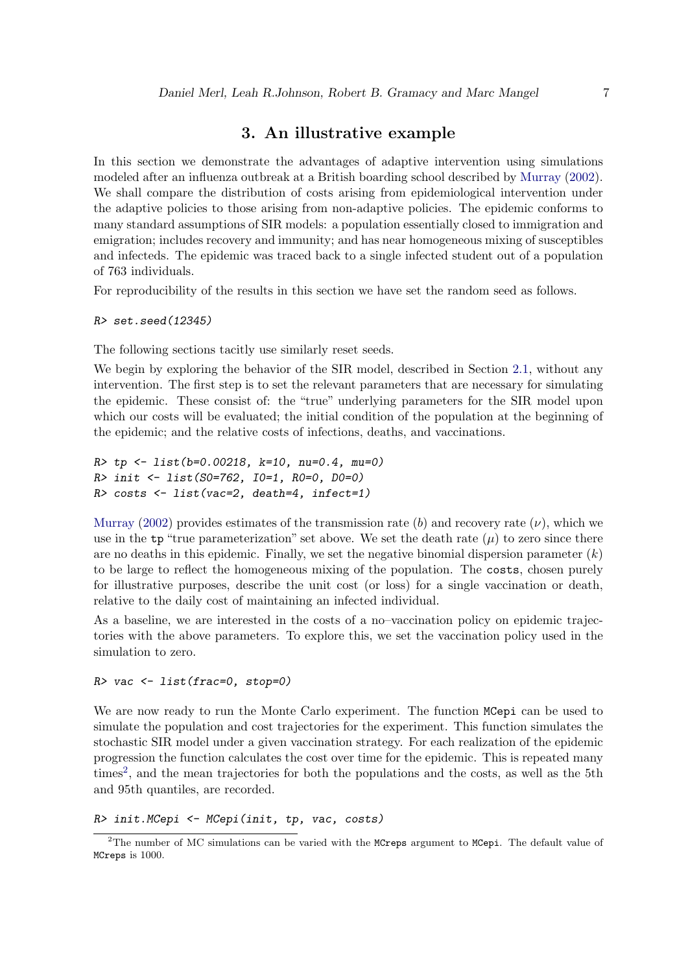# 3. An illustrative example

<span id="page-6-0"></span>In this section we demonstrate the advantages of adaptive intervention using simulations modeled after an influenza outbreak at a British boarding school described by [Murray](#page-31-5) [\(2002\)](#page-31-5). We shall compare the distribution of costs arising from epidemiological intervention under the adaptive policies to those arising from non-adaptive policies. The epidemic conforms to many standard assumptions of SIR models: a population essentially closed to immigration and emigration; includes recovery and immunity; and has near homogeneous mixing of susceptibles and infecteds. The epidemic was traced back to a single infected student out of a population of 763 individuals.

For reproducibility of the results in this section we have set the random seed as follows.

R> set.seed(12345)

The following sections tacitly use similarly reset seeds.

We begin by exploring the behavior of the SIR model, described in Section [2.1,](#page-1-1) without any intervention. The first step is to set the relevant parameters that are necessary for simulating the epidemic. These consist of: the "true" underlying parameters for the SIR model upon which our costs will be evaluated; the initial condition of the population at the beginning of the epidemic; and the relative costs of infections, deaths, and vaccinations.

```
R tp <- list(b=0.00218, k=10, nu=0.4, mu=0)
R> init <- list(S0=762, I0=1, R0=0, D0=0)
R> costs <- list(vac=2, death=4, infect=1)
```
[Murray](#page-31-5) [\(2002\)](#page-31-5) provides estimates of the transmission rate (b) and recovery rate ( $\nu$ ), which we use in the  $tp$  "true parameterization" set above. We set the death rate  $(\mu)$  to zero since there are no deaths in this epidemic. Finally, we set the negative binomial dispersion parameter  $(k)$ to be large to reflect the homogeneous mixing of the population. The costs, chosen purely for illustrative purposes, describe the unit cost (or loss) for a single vaccination or death, relative to the daily cost of maintaining an infected individual.

As a baseline, we are interested in the costs of a no–vaccination policy on epidemic trajectories with the above parameters. To explore this, we set the vaccination policy used in the simulation to zero.

#### R> vac <- list(frac=0, stop=0)

We are now ready to run the Monte Carlo experiment. The function MCepi can be used to simulate the population and cost trajectories for the experiment. This function simulates the stochastic SIR model under a given vaccination strategy. For each realization of the epidemic progression the function calculates the cost over time for the epidemic. This is repeated many times<sup>[2](#page-6-1)</sup>, and the mean trajectories for both the populations and the costs, as well as the 5th and 95th quantiles, are recorded.

R> init.MCepi <- MCepi(init, tp, vac, costs)

<span id="page-6-1"></span><sup>&</sup>lt;sup>2</sup>The number of MC simulations can be varied with the MCreps argument to MCepi. The default value of MCreps is 1000.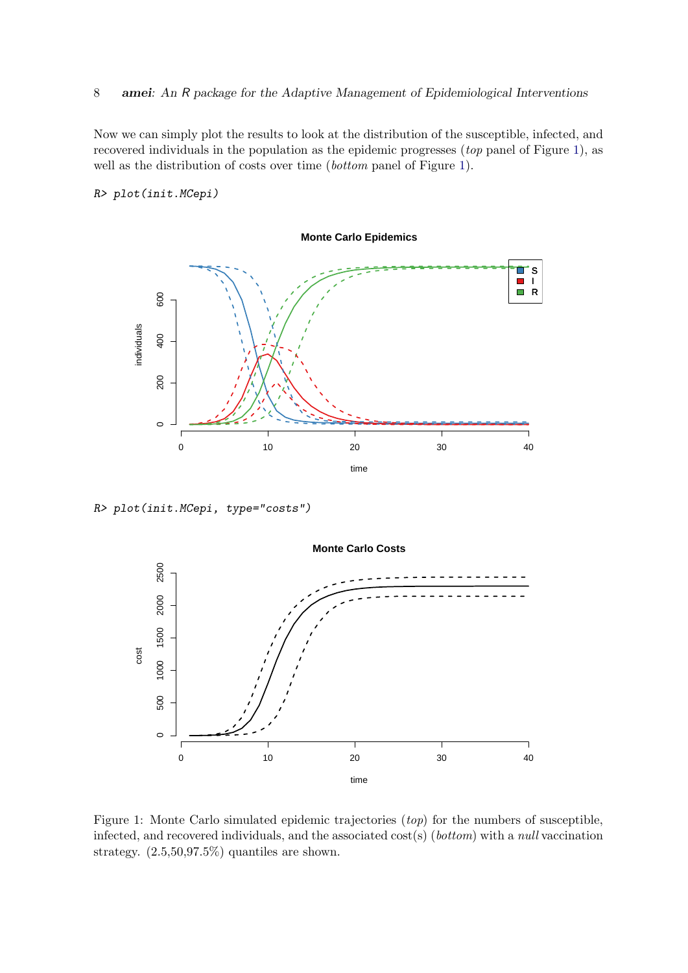Now we can simply plot the results to look at the distribution of the susceptible, infected, and recovered individuals in the population as the epidemic progresses (top panel of Figure [1\)](#page-7-0), as well as the distribution of costs over time (bottom panel of Figure [1\)](#page-7-0).

#### R> plot(init.MCepi)



R> plot(init.MCepi, type="costs")



<span id="page-7-0"></span>Figure 1: Monte Carlo simulated epidemic trajectories (top) for the numbers of susceptible, infected, and recovered individuals, and the associated  $cost(s)$  (bottom) with a null vaccination strategy. (2.5,50,97.5%) quantiles are shown.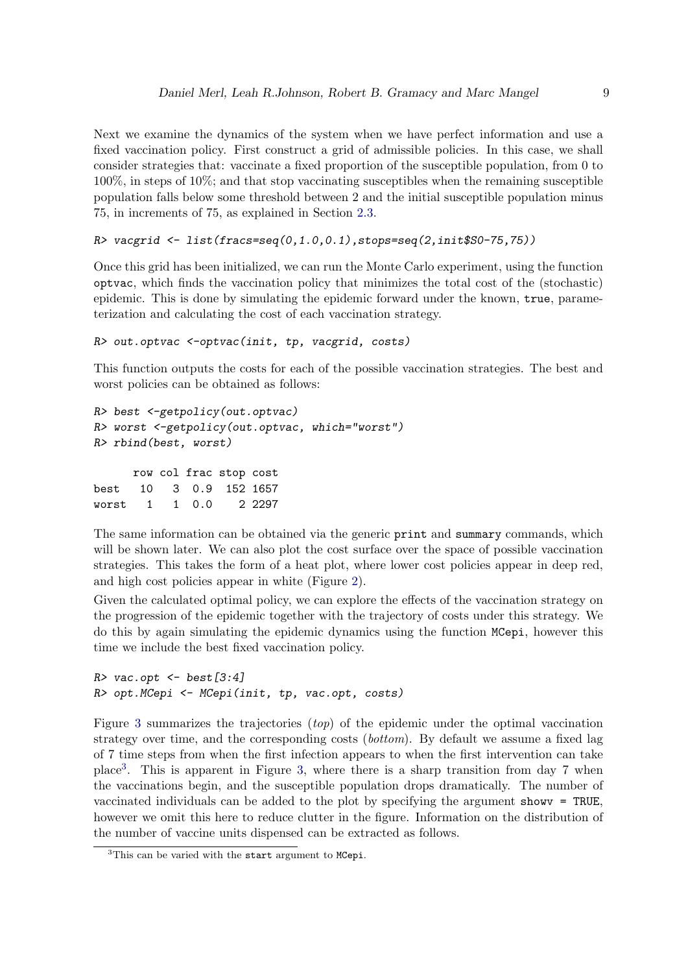Next we examine the dynamics of the system when we have perfect information and use a fixed vaccination policy. First construct a grid of admissible policies. In this case, we shall consider strategies that: vaccinate a fixed proportion of the susceptible population, from 0 to 100%, in steps of 10%; and that stop vaccinating susceptibles when the remaining susceptible population falls below some threshold between 2 and the initial susceptible population minus 75, in increments of 75, as explained in Section [2.3.](#page-4-0)

```
R> vacgrid <- list(fracs=seq(0,1.0,0.1),stops=seq(2,init$S0-75,75))
```
Once this grid has been initialized, we can run the Monte Carlo experiment, using the function optvac, which finds the vaccination policy that minimizes the total cost of the (stochastic) epidemic. This is done by simulating the epidemic forward under the known, true, parameterization and calculating the cost of each vaccination strategy.

```
R> out.optvac <-optvac(init, tp, vacgrid, costs)
```
This function outputs the costs for each of the possible vaccination strategies. The best and worst policies can be obtained as follows:

```
R> best <-getpolicy(out.optvac)
R> worst <-getpolicy(out.optvac, which="worst")
R> rbind(best, worst)
```

```
row col frac stop cost
best 10 3 0.9 152 1657
worst 1 1 0.0 2 2297
```
The same information can be obtained via the generic print and summary commands, which will be shown later. We can also plot the cost surface over the space of possible vaccination strategies. This takes the form of a heat plot, where lower cost policies appear in deep red, and high cost policies appear in white (Figure [2\)](#page-9-0).

Given the calculated optimal policy, we can explore the effects of the vaccination strategy on the progression of the epidemic together with the trajectory of costs under this strategy. We do this by again simulating the epidemic dynamics using the function MCepi, however this time we include the best fixed vaccination policy.

```
R> vac.opt <- best [3:4]
R> opt.MCepi <- MCepi(init, tp, vac.opt, costs)
```
Figure [3](#page-10-0) summarizes the trajectories (top) of the epidemic under the optimal vaccination strategy over time, and the corresponding costs (bottom). By default we assume a fixed lag of 7 time steps from when the first infection appears to when the first intervention can take place[3](#page-8-0) . This is apparent in Figure [3,](#page-10-0) where there is a sharp transition from day 7 when the vaccinations begin, and the susceptible population drops dramatically. The number of vaccinated individuals can be added to the plot by specifying the argument showv = TRUE, however we omit this here to reduce clutter in the figure. Information on the distribution of the number of vaccine units dispensed can be extracted as follows.

<span id="page-8-0"></span> ${}^{3}$ This can be varied with the start argument to MCepi.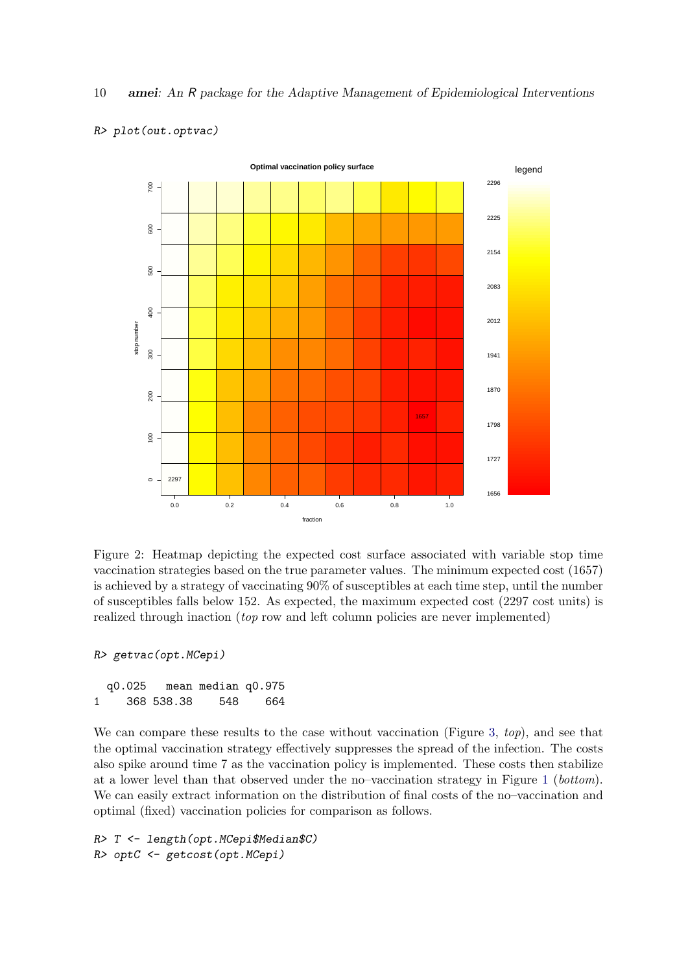

#### R> plot(out.optvac)

<span id="page-9-0"></span>Figure 2: Heatmap depicting the expected cost surface associated with variable stop time vaccination strategies based on the true parameter values. The minimum expected cost (1657) is achieved by a strategy of vaccinating 90% of susceptibles at each time step, until the number of susceptibles falls below 152. As expected, the maximum expected cost (2297 cost units) is realized through inaction (*top* row and left column policies are never implemented)

```
R> getvac(opt.MCepi)
```
q0.025 mean median q0.975 1 368 538.38 548 664

We can compare these results to the case without vaccination (Figure [3,](#page-10-0) top), and see that the optimal vaccination strategy effectively suppresses the spread of the infection. The costs also spike around time 7 as the vaccination policy is implemented. These costs then stabilize at a lower level than that observed under the no–vaccination strategy in Figure [1](#page-7-0) (bottom). We can easily extract information on the distribution of final costs of the no–vaccination and optimal (fixed) vaccination policies for comparison as follows.

R> T <- length(opt.MCepi\$Median\$C) R> optC <- getcost(opt.MCepi)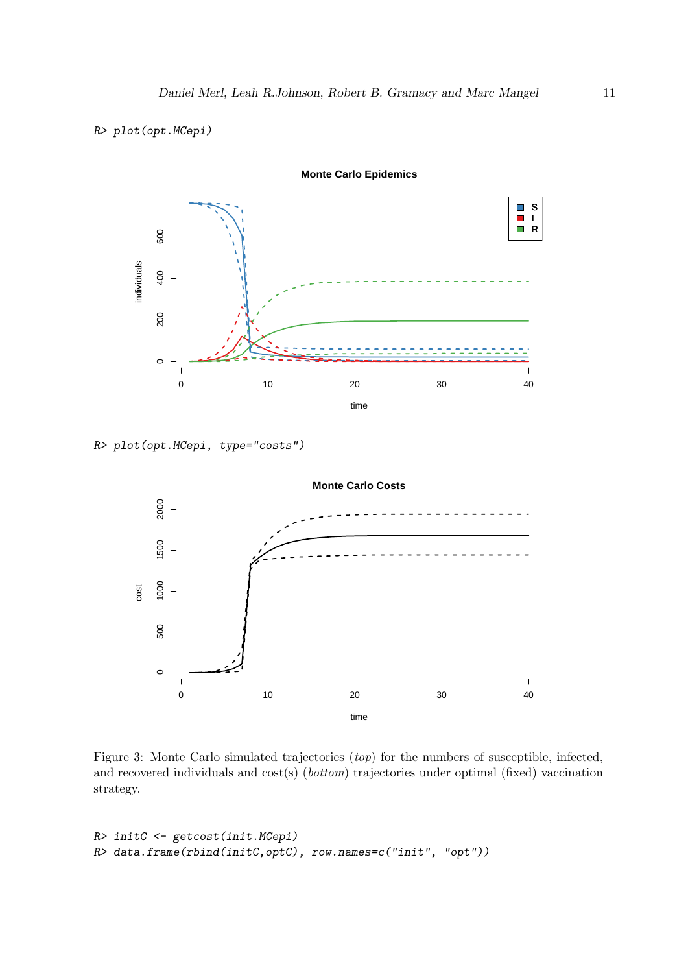# R> plot(opt.MCepi)



R> plot(opt.MCepi, type="costs")



<span id="page-10-0"></span>Figure 3: Monte Carlo simulated trajectories (top) for the numbers of susceptible, infected, and recovered individuals and cost(s) (bottom) trajectories under optimal (fixed) vaccination strategy.

```
R> initC <- getcost(init.MCepi)
R> data.frame(rbind(initC,optC), row.names=c("init", "opt"))
```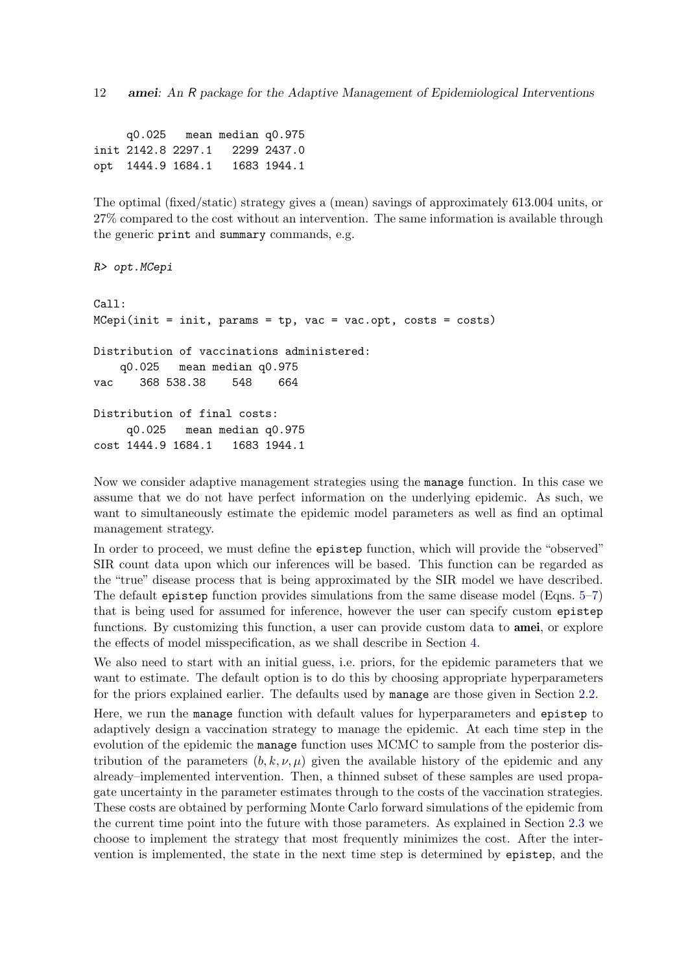12 amei: An R package for the Adaptive Management of Epidemiological Interventions

q0.025 mean median q0.975 init 2142.8 2297.1 2299 2437.0 opt 1444.9 1684.1 1683 1944.1

The optimal (fixed/static) strategy gives a (mean) savings of approximately 613.004 units, or 27% compared to the cost without an intervention. The same information is available through the generic print and summary commands, e.g.

```
R> opt.MCepi
Call:
MCepi(int = init, <i>params = tp, vac = vac.opt, <i>costs = costs</i>)Distribution of vaccinations administered:
    q0.025 mean median q0.975
vac 368 538.38 548 664
Distribution of final costs:
     q0.025 mean median q0.975
cost 1444.9 1684.1 1683 1944.1
```
Now we consider adaptive management strategies using the manage function. In this case we assume that we do not have perfect information on the underlying epidemic. As such, we want to simultaneously estimate the epidemic model parameters as well as find an optimal management strategy.

In order to proceed, we must define the epistep function, which will provide the "observed" SIR count data upon which our inferences will be based. This function can be regarded as the "true" disease process that is being approximated by the SIR model we have described. The default epistep function provides simulations from the same disease model (Eqns. [5–](#page-2-4)[7\)](#page-3-0) that is being used for assumed for inference, however the user can specify custom epistep functions. By customizing this function, a user can provide custom data to **amei**, or explore the effects of model misspecification, as we shall describe in Section [4.](#page-18-0)

We also need to start with an initial guess, i.e. priors, for the epidemic parameters that we want to estimate. The default option is to do this by choosing appropriate hyperparameters for the priors explained earlier. The defaults used by manage are those given in Section [2.2.](#page-3-3)

Here, we run the manage function with default values for hyperparameters and epistep to adaptively design a vaccination strategy to manage the epidemic. At each time step in the evolution of the epidemic the manage function uses MCMC to sample from the posterior distribution of the parameters  $(b, k, \nu, \mu)$  given the available history of the epidemic and any already–implemented intervention. Then, a thinned subset of these samples are used propagate uncertainty in the parameter estimates through to the costs of the vaccination strategies. These costs are obtained by performing Monte Carlo forward simulations of the epidemic from the current time point into the future with those parameters. As explained in Section [2.3](#page-4-0) we choose to implement the strategy that most frequently minimizes the cost. After the intervention is implemented, the state in the next time step is determined by epistep, and the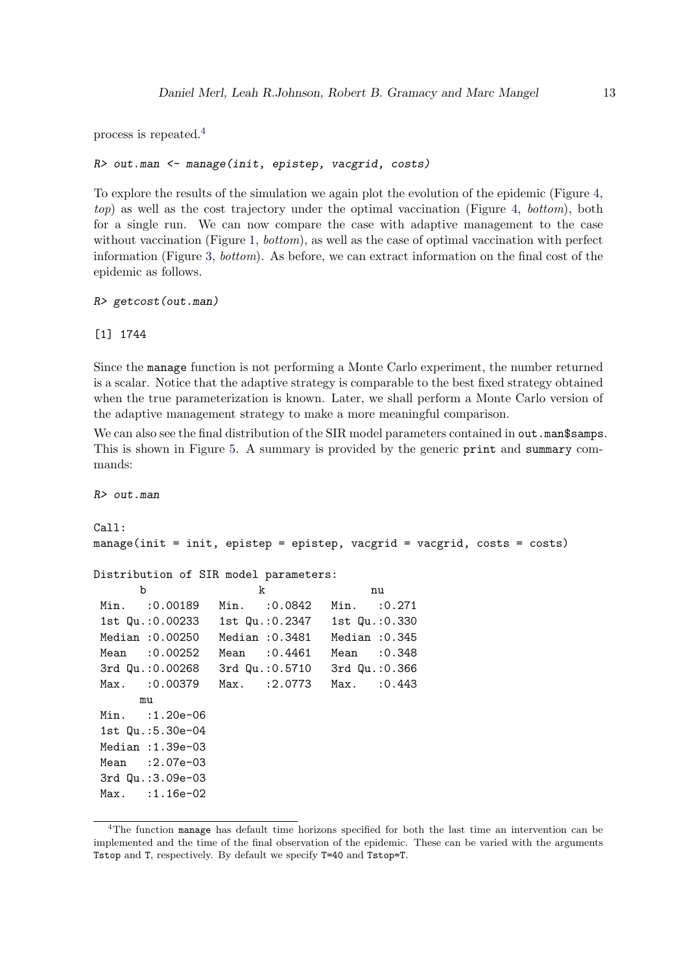process is repeated.[4](#page-12-0)

```
R> out.man <- manage(init, epistep, vacgrid, costs)
```
To explore the results of the simulation we again plot the evolution of the epidemic (Figure [4,](#page-13-0) top) as well as the cost trajectory under the optimal vaccination (Figure [4,](#page-13-0) bottom), both for a single run. We can now compare the case with adaptive management to the case without vaccination (Figure [1,](#page-7-0) *bottom*), as well as the case of optimal vaccination with perfect information (Figure [3,](#page-10-0) bottom). As before, we can extract information on the final cost of the epidemic as follows.

R> getcost(out.man)

[1] 1744

Since the manage function is not performing a Monte Carlo experiment, the number returned is a scalar. Notice that the adaptive strategy is comparable to the best fixed strategy obtained when the true parameterization is known. Later, we shall perform a Monte Carlo version of the adaptive management strategy to make a more meaningful comparison.

We can also see the final distribution of the SIR model parameters contained in out.man\$samps. This is shown in Figure [5.](#page-14-0) A summary is provided by the generic print and summary commands:

R> out.man

```
C_{2}11manage(init = init, epistep = epistep, vacgrid = vacgrid, costs = costs)
Distribution of SIR model parameters:
      b k nu
Min. :0.00189 Min. :0.0842 Min. :0.271
 1st Qu.:0.00233 1st Qu.:0.2347 1st Qu.:0.330
Median :0.00250 Median :0.3481 Median :0.345
Mean :0.00252 Mean :0.4461 Mean :0.348
 3rd Qu.:0.00268 3rd Qu.:0.5710 3rd Qu.:0.366
Max. :0.00379 Max. :2.0773 Max. :0.443
      mu
Min. : 1.20e-06
 1st Qu.:5.30e-04
Median :1.39e-03
Mean : 2.07e-03
 3rd Qu.:3.09e-03
Max. :1.16e-02
```
<span id="page-12-0"></span><sup>4</sup>The function manage has default time horizons specified for both the last time an intervention can be implemented and the time of the final observation of the epidemic. These can be varied with the arguments Tstop and T, respectively. By default we specify T=40 and Tstop=T.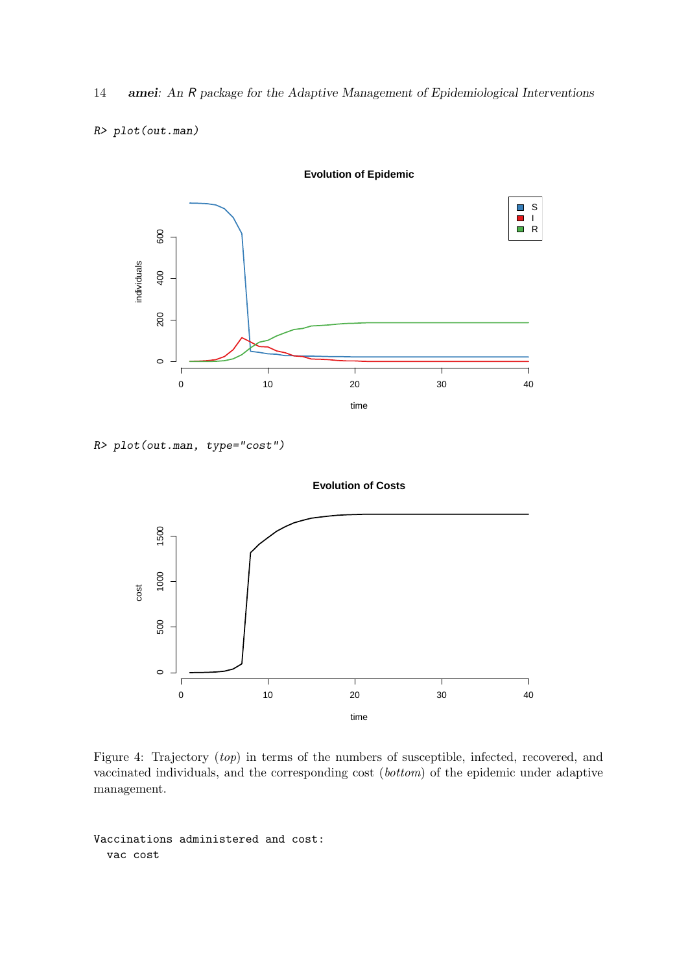14 amei: An R package for the Adaptive Management of Epidemiological Interventions

#### R> plot(out.man)



R> plot(out.man, type="cost")



<span id="page-13-0"></span>Figure 4: Trajectory (top) in terms of the numbers of susceptible, infected, recovered, and vaccinated individuals, and the corresponding cost (bottom) of the epidemic under adaptive management.

Vaccinations administered and cost: vac cost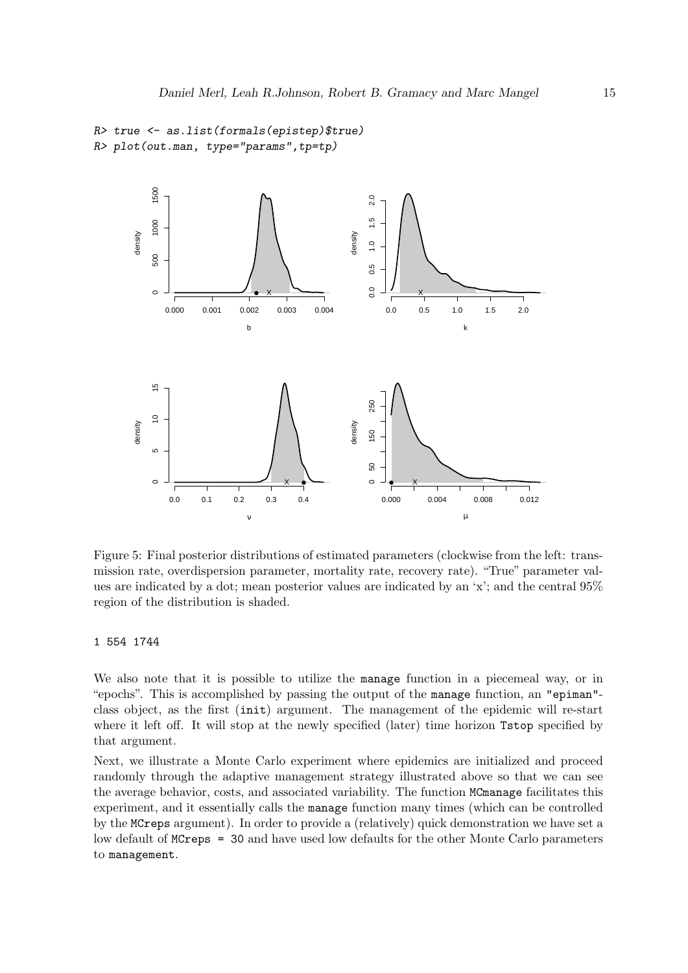```
R> true <- as.list(formals(epistep)$true)
R> plot(out.man, type="params",tp=tp)
```


<span id="page-14-0"></span>Figure 5: Final posterior distributions of estimated parameters (clockwise from the left: transmission rate, overdispersion parameter, mortality rate, recovery rate). "True" parameter values are indicated by a dot; mean posterior values are indicated by an 'x'; and the central 95% region of the distribution is shaded.

#### 1 554 1744

We also note that it is possible to utilize the manage function in a piecemeal way, or in "epochs". This is accomplished by passing the output of the manage function, an "epiman" class object, as the first (init) argument. The management of the epidemic will re-start where it left off. It will stop at the newly specified (later) time horizon Tstop specified by that argument.

Next, we illustrate a Monte Carlo experiment where epidemics are initialized and proceed randomly through the adaptive management strategy illustrated above so that we can see the average behavior, costs, and associated variability. The function MCmanage facilitates this experiment, and it essentially calls the manage function many times (which can be controlled by the MCreps argument). In order to provide a (relatively) quick demonstration we have set a low default of MCreps = 30 and have used low defaults for the other Monte Carlo parameters to management.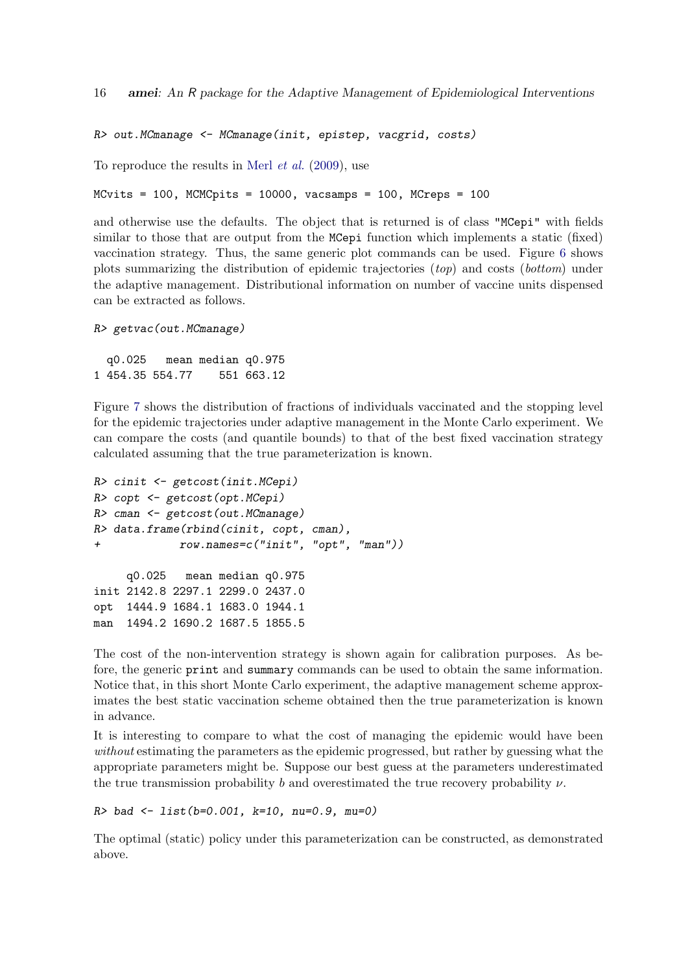16 amei: An R package for the Adaptive Management of Epidemiological Interventions

R> out.MCmanage <- MCmanage(init, epistep, vacgrid, costs)

To reproduce the results in Merl [et al.](#page-31-4) [\(2009\)](#page-31-4), use

 $MCvits = 100$ ,  $MCMCpits = 10000$ ,  $vacsamps = 100$ ,  $MCreps = 100$ 

and otherwise use the defaults. The object that is returned is of class "MCepi" with fields similar to those that are output from the MCepi function which implements a static (fixed) vaccination strategy. Thus, the same generic plot commands can be used. Figure [6](#page-16-0) shows plots summarizing the distribution of epidemic trajectories (top) and costs (bottom) under the adaptive management. Distributional information on number of vaccine units dispensed can be extracted as follows.

```
R> getvac(out.MCmanage)
```
q0.025 mean median q0.975 1 454.35 554.77 551 663.12

Figure [7](#page-17-0) shows the distribution of fractions of individuals vaccinated and the stopping level for the epidemic trajectories under adaptive management in the Monte Carlo experiment. We can compare the costs (and quantile bounds) to that of the best fixed vaccination strategy calculated assuming that the true parameterization is known.

```
R> cinit <- getcost(init.MCepi)
R> copt <- getcost(opt.MCepi)
R> cman <- getcost(out.MCmanage)
R> data.frame(rbind(cinit, copt, cman),
+ row.names=c("init", "opt", "man"))
    q0.025 mean median q0.975
init 2142.8 2297.1 2299.0 2437.0
opt 1444.9 1684.1 1683.0 1944.1
man 1494.2 1690.2 1687.5 1855.5
```
The cost of the non-intervention strategy is shown again for calibration purposes. As before, the generic print and summary commands can be used to obtain the same information. Notice that, in this short Monte Carlo experiment, the adaptive management scheme approximates the best static vaccination scheme obtained then the true parameterization is known in advance.

It is interesting to compare to what the cost of managing the epidemic would have been without estimating the parameters as the epidemic progressed, but rather by guessing what the appropriate parameters might be. Suppose our best guess at the parameters underestimated the true transmission probability b and overestimated the true recovery probability  $\nu$ .

```
R> bad <- list(b=0.001, k=10, nu=0.9, mu=0)
```
The optimal (static) policy under this parameterization can be constructed, as demonstrated above.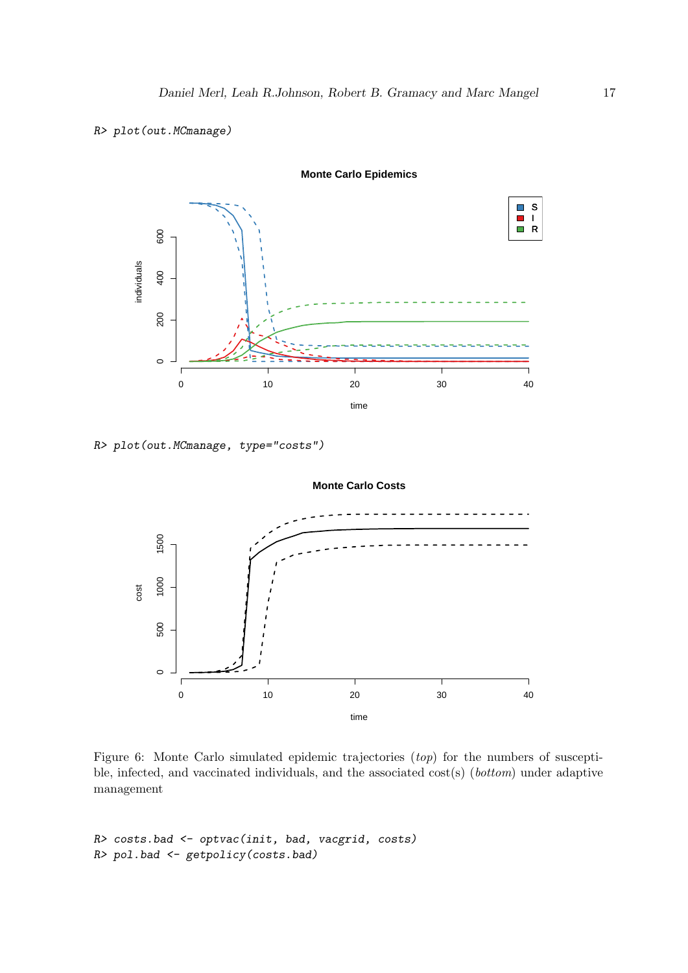#### R> plot(out.MCmanage)



#### **Monte Carlo Epidemics**

R> plot(out.MCmanage, type="costs")



<span id="page-16-0"></span>Figure 6: Monte Carlo simulated epidemic trajectories (top) for the numbers of susceptible, infected, and vaccinated individuals, and the associated cost(s) (bottom) under adaptive management

```
R> costs.bad <- optvac(init, bad, vacgrid, costs)
R> pol.bad <- getpolicy(costs.bad)
```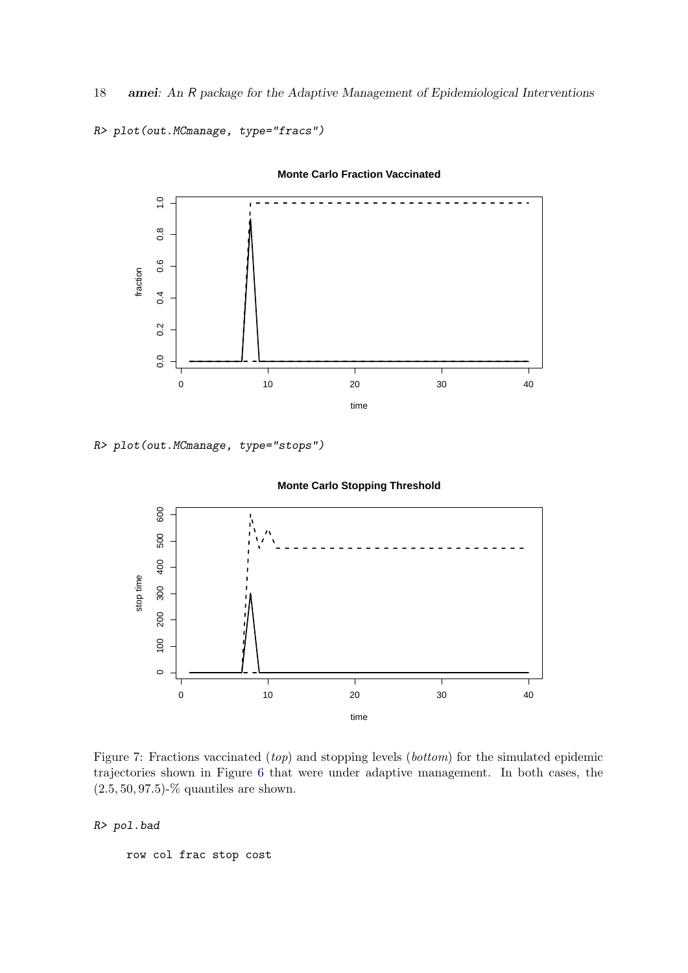18 amei: An R package for the Adaptive Management of Epidemiological Interventions

R> plot(out.MCmanage, type="fracs")



### **Monte Carlo Fraction Vaccinated**

R> plot(out.MCmanage, type="stops")





<span id="page-17-0"></span>Figure 7: Fractions vaccinated (top) and stopping levels (bottom) for the simulated epidemic trajectories shown in Figure [6](#page-16-0) that were under adaptive management. In both cases, the  $(2.5, 50, 97.5)$ -% quantiles are shown.

R> pol.bad

row col frac stop cost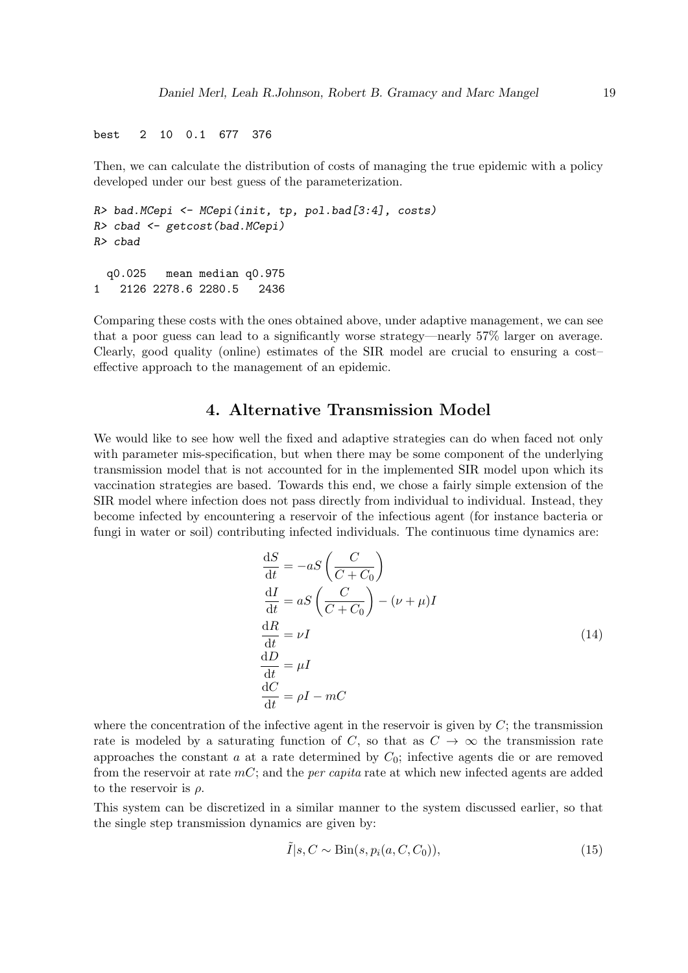best 2 10 0.1 677 376

Then, we can calculate the distribution of costs of managing the true epidemic with a policy developed under our best guess of the parameterization.

```
R> bad.MCepi <- MCepi(init, tp, pol.bad[3:4], costs)
R> cbad <- getcost(bad.MCepi)
R> cbad
 q0.025 mean median q0.975
1 2126 2278.6 2280.5 2436
```
Comparing these costs with the ones obtained above, under adaptive management, we can see that a poor guess can lead to a significantly worse strategy—nearly 57% larger on average. Clearly, good quality (online) estimates of the SIR model are crucial to ensuring a cost– effective approach to the management of an epidemic.

# 4. Alternative Transmission Model

<span id="page-18-0"></span>We would like to see how well the fixed and adaptive strategies can do when faced not only with parameter mis-specification, but when there may be some component of the underlying transmission model that is not accounted for in the implemented SIR model upon which its vaccination strategies are based. Towards this end, we chose a fairly simple extension of the SIR model where infection does not pass directly from individual to individual. Instead, they become infected by encountering a reservoir of the infectious agent (for instance bacteria or fungi in water or soil) contributing infected individuals. The continuous time dynamics are:

<span id="page-18-1"></span>
$$
\frac{dS}{dt} = -aS \left( \frac{C}{C+C_0} \right)
$$
  
\n
$$
\frac{dI}{dt} = aS \left( \frac{C}{C+C_0} \right) - (\nu + \mu)I
$$
  
\n
$$
\frac{dR}{dt} = \nu I
$$
  
\n
$$
\frac{dD}{dt} = \mu I
$$
  
\n
$$
\frac{dC}{dt} = \rho I - mC
$$
\n(14)

where the concentration of the infective agent in the reservoir is given by  $C$ ; the transmission rate is modeled by a saturating function of C, so that as  $C \rightarrow \infty$  the transmission rate approaches the constant  $a$  at a rate determined by  $C_0$ ; infective agents die or are removed from the reservoir at rate  $mC$ ; and the *per capita* rate at which new infected agents are added to the reservoir is  $\rho$ .

This system can be discretized in a similar manner to the system discussed earlier, so that the single step transmission dynamics are given by:

$$
\tilde{I}|s, C \sim \text{Bin}(s, p_i(a, C, C_0)),\tag{15}
$$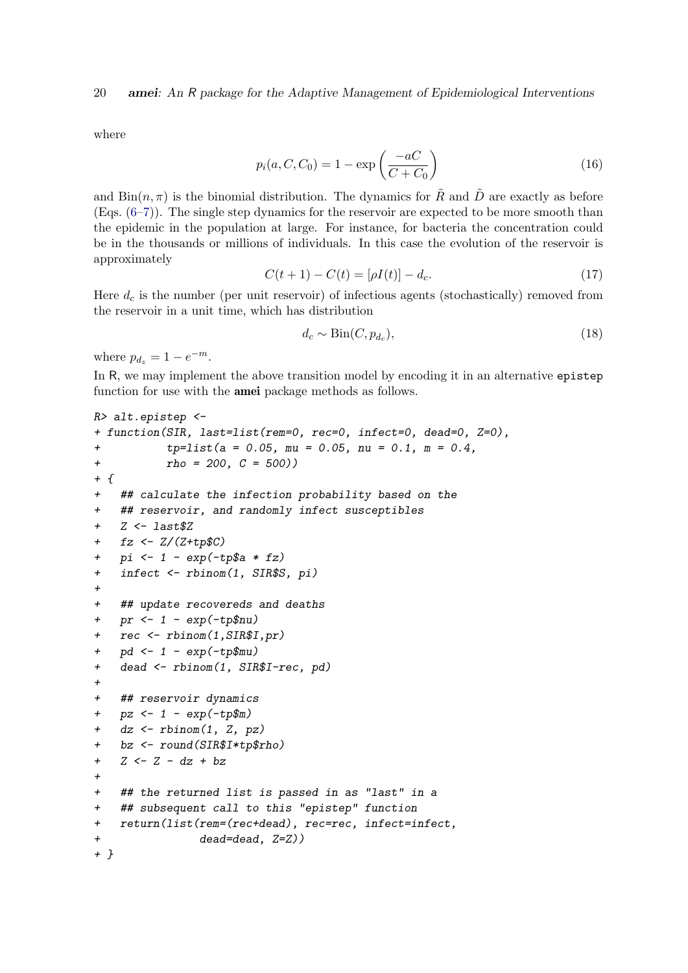where

$$
p_i(a, C, C_0) = 1 - \exp\left(\frac{-aC}{C + C_0}\right)
$$
 (16)

and  $\text{Bin}(n, \pi)$  is the binomial distribution. The dynamics for  $\tilde{R}$  and  $\tilde{D}$  are exactly as before (Eqs. [\(6–7\)](#page-3-0)). The single step dynamics for the reservoir are expected to be more smooth than the epidemic in the population at large. For instance, for bacteria the concentration could be in the thousands or millions of individuals. In this case the evolution of the reservoir is approximately

$$
C(t+1) - C(t) = [\rho I(t)] - d_c.
$$
\n(17)

Here  $d_c$  is the number (per unit reservoir) of infectious agents (stochastically) removed from the reservoir in a unit time, which has distribution

$$
d_c \sim \text{Bin}(C, p_{d_c}),\tag{18}
$$

where  $p_{d_z} = 1 - e^{-m}$ .

In R, we may implement the above transition model by encoding it in an alternative epistep function for use with the **amei** package methods as follows.

```
R> alt.epistep <-
+ function(SIR, last=list(rem=0, rec=0, infect=0, dead=0, Z=0),
          tp = list(a = 0.05, mu = 0.05, nu = 0.1, m = 0.4,+ \text{rho} = 200, C = 500)+ f+ ## calculate the infection probability based on the
+ ## reservoir, and randomly infect susceptibles
+ Z \leftarrow last Z+ fz <- Z/(Z+tp$C)
+ pi <- 1 - exp(-tp$a * fz)
+ infect <- rbinom(1, SIR$S, pi)
+
+ ## update recovereds and deaths
+ pr \le 1 - exp(-tp\nu)
+ rec <- rbinom(1,SIR$I,pr)
+ pd \le -1 - exp(-tp\mu)
+ dead <- rbinom(1, SIR$I-rec, pd)
+
+ ## reservoir dynamics
+ pz \leftarrow 1 - exp(-tp\m)
+ dz <- rbinom(1, Z, pz)
+ bz <- round(SIR$I*tp$rho)
+ Z <- Z - dz + bz
+
+ ## the returned list is passed in as "last" in a
   ## subsequent call to this "epistep" function
+ return(list(rem=(rec+dead), rec=rec, infect=infect,
+ dead=dead, Z=Z))
+ }
```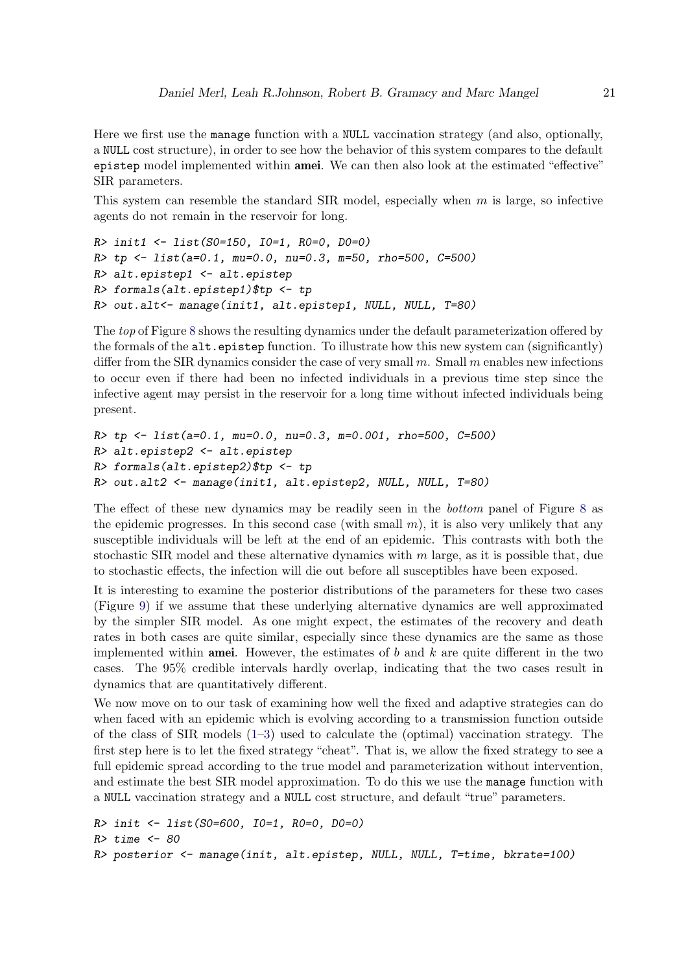Here we first use the manage function with a NULL vaccination strategy (and also, optionally, a NULL cost structure), in order to see how the behavior of this system compares to the default epistep model implemented within amei. We can then also look at the estimated "effective" SIR parameters.

This system can resemble the standard SIR model, especially when  $m$  is large, so infective agents do not remain in the reservoir for long.

```
R> init1 <- list(S0=150, I0=1, R0=0, D0=0)
R> tp <- list(a=0.1, mu=0.0, nu=0.3, m=50, rho=500, C=500)
R> alt.epistep1 <- alt.epistep
R> formals(alt.epistep1)$tp <- tp
R> out.alt<- manage(init1, alt.epistep1, NULL, NULL, T=80)
```
The *top* of Figure [8](#page-21-0) shows the resulting dynamics under the default parameterization offered by the formals of the alt.epistep function. To illustrate how this new system can (significantly) differ from the SIR dynamics consider the case of very small  $m$ . Small  $m$  enables new infections to occur even if there had been no infected individuals in a previous time step since the infective agent may persist in the reservoir for a long time without infected individuals being present.

```
R> tp <- list(a=0.1, mu=0.0, nu=0.3, m=0.001, rho=500, C=500)
R> alt.epistep2 <- alt.epistep
R> formals(alt.epistep2)$tp <- tp
R> out.alt2 <- manage(init1, alt.epistep2, NULL, NULL, T=80)
```
The effect of these new dynamics may be readily seen in the *bottom* panel of Figure [8](#page-21-0) as the epidemic progresses. In this second case (with small  $m$ ), it is also very unlikely that any susceptible individuals will be left at the end of an epidemic. This contrasts with both the stochastic SIR model and these alternative dynamics with  $m$  large, as it is possible that, due to stochastic effects, the infection will die out before all susceptibles have been exposed.

It is interesting to examine the posterior distributions of the parameters for these two cases (Figure [9\)](#page-22-0) if we assume that these underlying alternative dynamics are well approximated by the simpler SIR model. As one might expect, the estimates of the recovery and death rates in both cases are quite similar, especially since these dynamics are the same as those implemented within **amei**. However, the estimates of b and  $k$  are quite different in the two cases. The 95% credible intervals hardly overlap, indicating that the two cases result in dynamics that are quantitatively different.

We now move on to our task of examining how well the fixed and adaptive strategies can do when faced with an epidemic which is evolving according to a transmission function outside of the class of SIR models [\(1](#page-2-0)[–3\)](#page-2-3) used to calculate the (optimal) vaccination strategy. The first step here is to let the fixed strategy "cheat". That is, we allow the fixed strategy to see a full epidemic spread according to the true model and parameterization without intervention, and estimate the best SIR model approximation. To do this we use the manage function with a NULL vaccination strategy and a NULL cost structure, and default "true" parameters.

```
R> init <- list(S0=600, I0=1, R0=0, D0=0)
R> time \leq 80
R> posterior <- manage(init, alt.epistep, NULL, NULL, T=time, bkrate=100)
```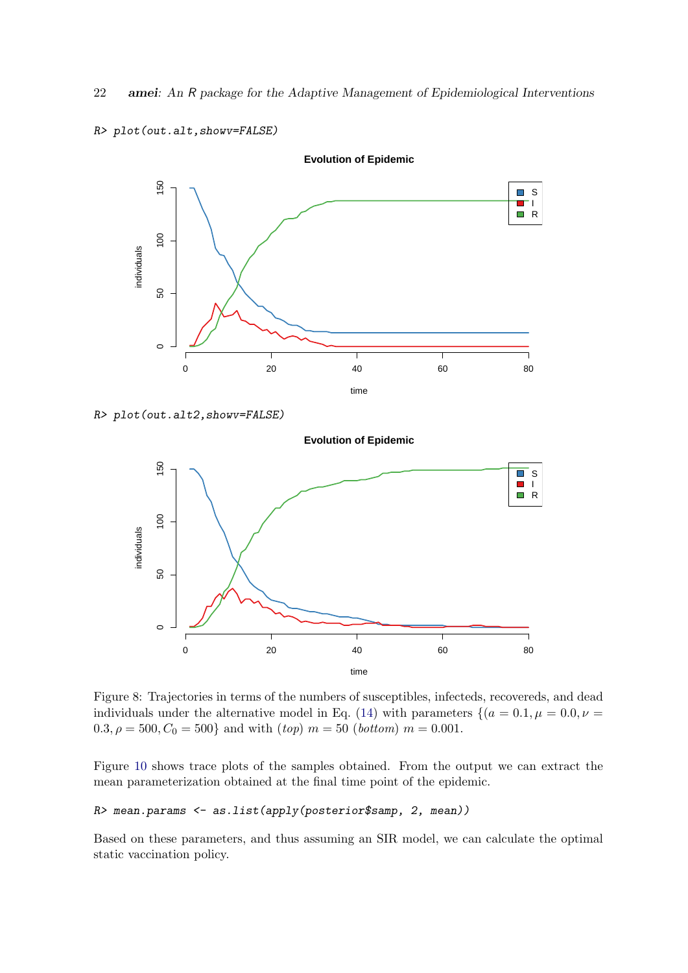

R> plot(out.alt,showv=FALSE)

```
R> plot(out.alt2,showv=FALSE)
```


<span id="page-21-0"></span>Figure 8: Trajectories in terms of the numbers of susceptibles, infecteds, recovereds, and dead individuals under the alternative model in Eq. [\(14\)](#page-18-1) with parameters  $\{(a = 0.1, \mu = 0.0, \nu = 0.0)\}$  $0.3, \rho = 500, C_0 = 500$ } and with  $(top)$   $m = 50$  (*bottom*)  $m = 0.001$ .

Figure [10](#page-23-0) shows trace plots of the samples obtained. From the output we can extract the mean parameterization obtained at the final time point of the epidemic.

# R> mean.params <- as.list(apply(posterior\$samp, 2, mean))

Based on these parameters, and thus assuming an SIR model, we can calculate the optimal static vaccination policy.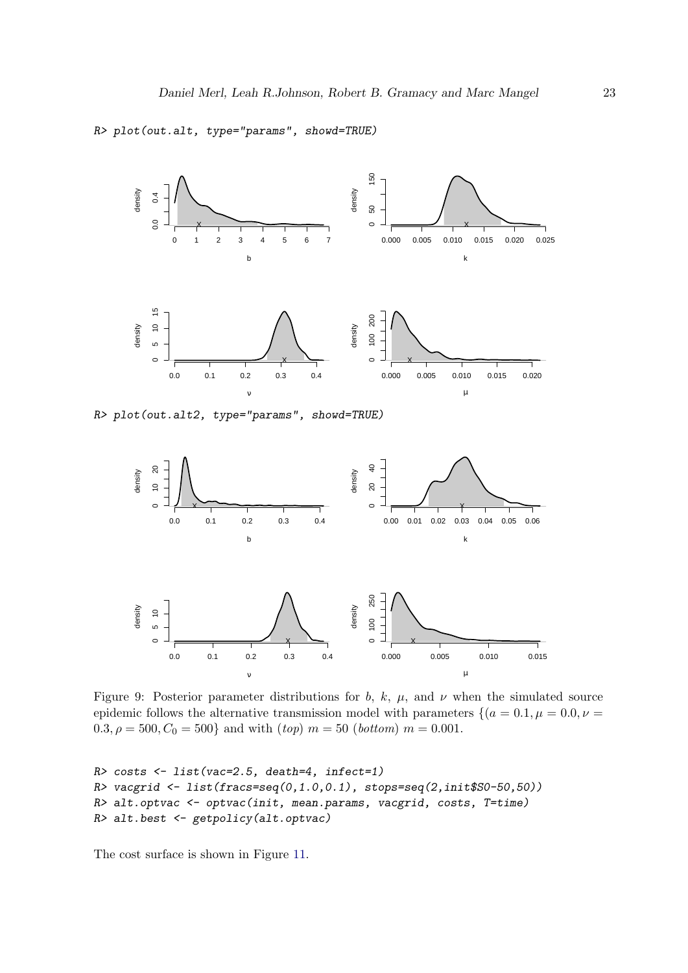R> plot(out.alt, type="params", showd=TRUE)





<span id="page-22-0"></span>Figure 9: Posterior parameter distributions for b, k,  $\mu$ , and  $\nu$  when the simulated source epidemic follows the alternative transmission model with parameters  $\{(a = 0.1, \mu = 0.0, \nu = 1\})$  $0.3, \rho = 500, C_0 = 500$ } and with  $(top)$   $m = 50$  (bottom)  $m = 0.001$ .

```
R> costs <- list(vac=2.5, death=4, infect=1)
R vacgrid \leq list(fracs=seq(0,1.0,0.1), stops=seq(2,init$S0-50,50))
R> alt.optvac <- optvac(init, mean.params, vacgrid, costs, T=time)
R> alt.best <- getpolicy(alt.optvac)
```
The cost surface is shown in Figure [11.](#page-24-0)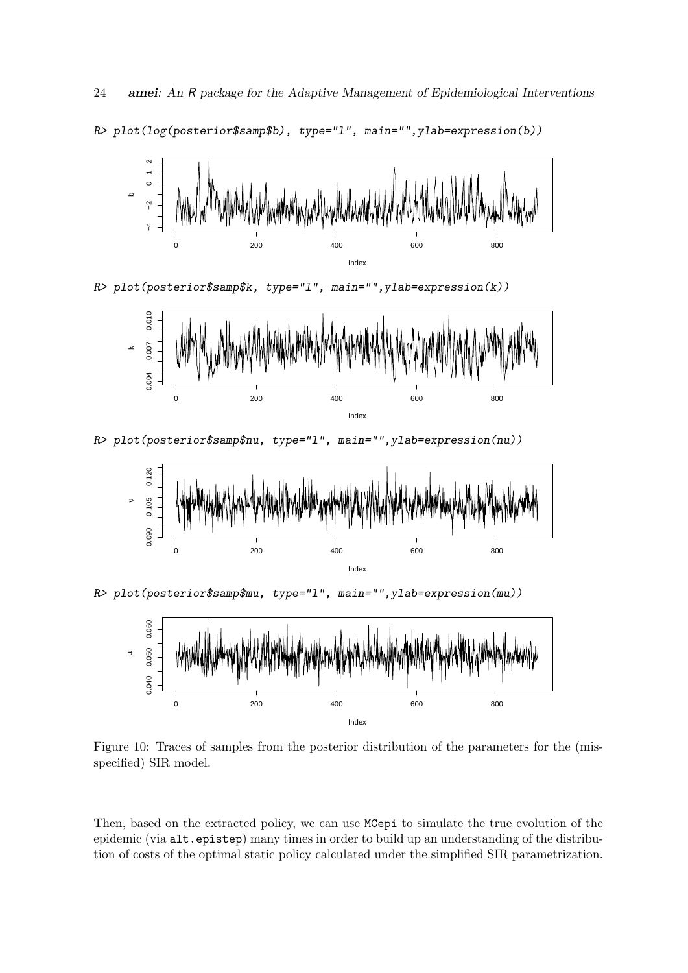0 200 200 400 600 600 800 −4<br>ד 2<br>0<br>0 Index م

R> plot(log(posterior\$samp\$b), type="l", main="",ylab=expression(b))

R> plot(posterior\$samp\$k, type="l", main="",ylab=expression(k))



R> plot(posterior\$samp\$nu, type="l", main="",ylab=expression(nu))



Index

R> plot(posterior\$samp\$mu, type="l", main="",ylab=expression(mu))



<span id="page-23-0"></span>Figure 10: Traces of samples from the posterior distribution of the parameters for the (misspecified) SIR model.

Then, based on the extracted policy, we can use MCepi to simulate the true evolution of the epidemic (via alt.epistep) many times in order to build up an understanding of the distribution of costs of the optimal static policy calculated under the simplified SIR parametrization.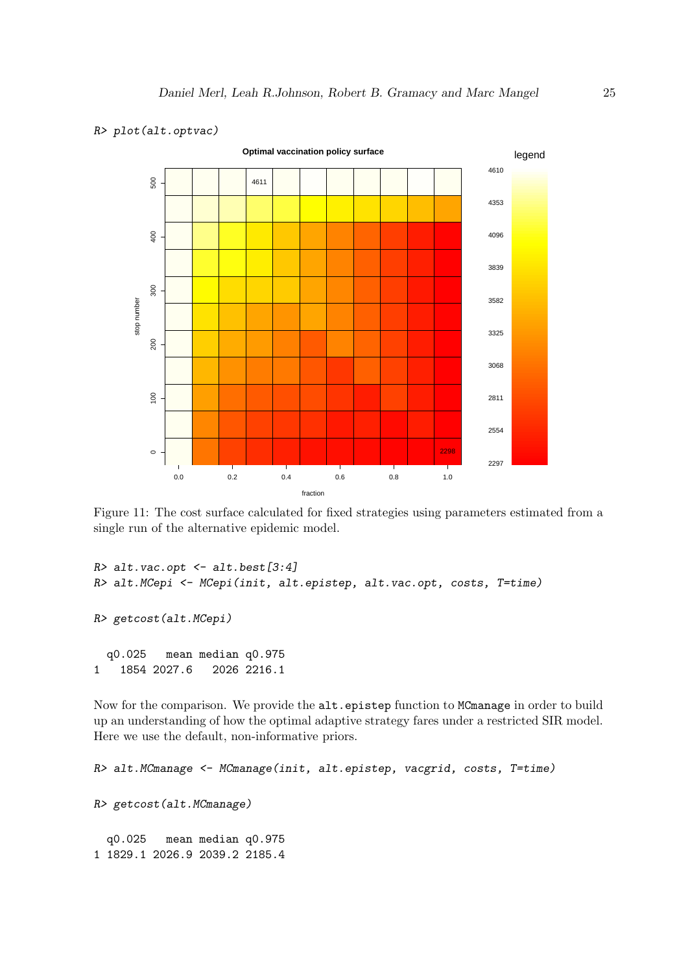

#### R> plot(alt.optvac)

<span id="page-24-0"></span>Figure 11: The cost surface calculated for fixed strategies using parameters estimated from a single run of the alternative epidemic model.

```
R > alt.vac.opt \leftarrow alt.best[3:4]R> alt.MCepi <- MCepi(init, alt.epistep, alt.vac.opt, costs, T=time)
R> getcost(alt.MCepi)
  q0.025 mean median q0.975
1 1854 2027.6 2026 2216.1
```
Now for the comparison. We provide the alt.epistep function to MCmanage in order to build up an understanding of how the optimal adaptive strategy fares under a restricted SIR model. Here we use the default, non-informative priors.

```
R> alt.MCmanage <- MCmanage(init, alt.epistep, vacgrid, costs, T=time)
R> getcost(alt.MCmanage)
  q0.025 mean median q0.975
1 1829.1 2026.9 2039.2 2185.4
```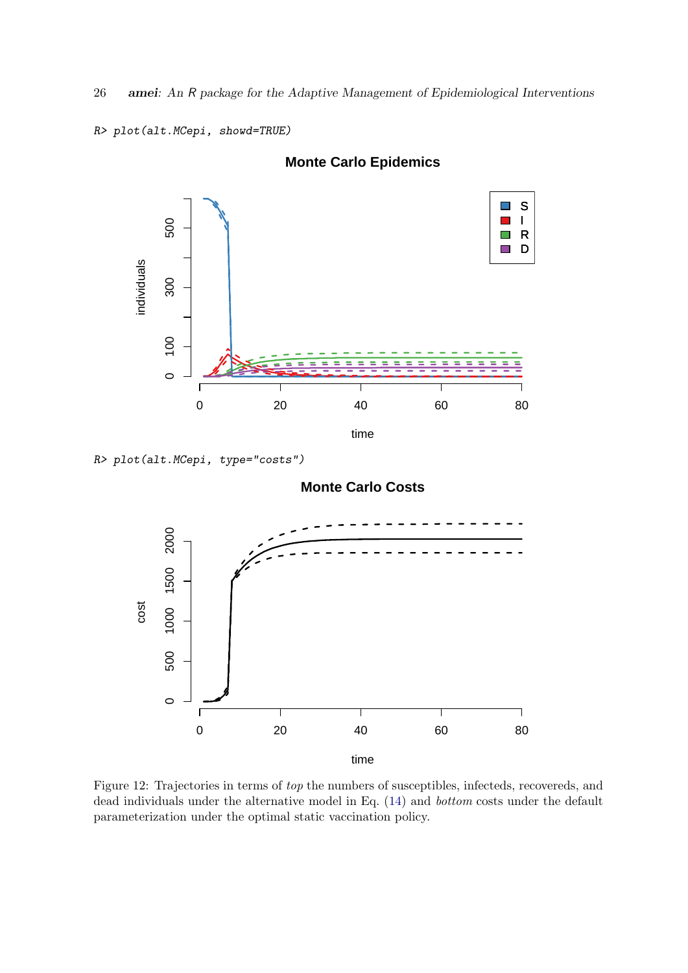26 amei: An R package for the Adaptive Management of Epidemiological Interventions

```
R> plot(alt.MCepi, showd=TRUE)
```


# **Monte Carlo Epidemics**

R> plot(alt.MCepi, type="costs")

# **Monte Carlo Costs**



<span id="page-25-0"></span>Figure 12: Trajectories in terms of top the numbers of susceptibles, infecteds, recovereds, and dead individuals under the alternative model in Eq. [\(14\)](#page-18-1) and bottom costs under the default parameterization under the optimal static vaccination policy.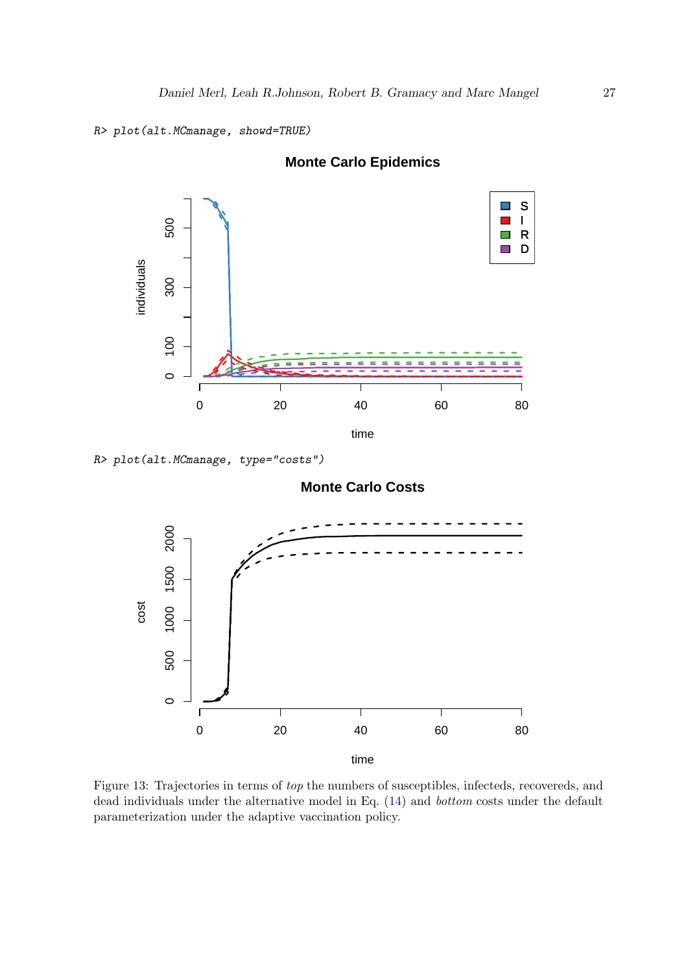```
R> plot(alt.MCmanage, showd=TRUE)
```


# **Monte Carlo Epidemics**

R> plot(alt.MCmanage, type="costs")

# **Monte Carlo Costs**



<span id="page-26-0"></span>Figure 13: Trajectories in terms of top the numbers of susceptibles, infecteds, recovereds, and dead individuals under the alternative model in Eq. [\(14\)](#page-18-1) and bottom costs under the default parameterization under the adaptive vaccination policy.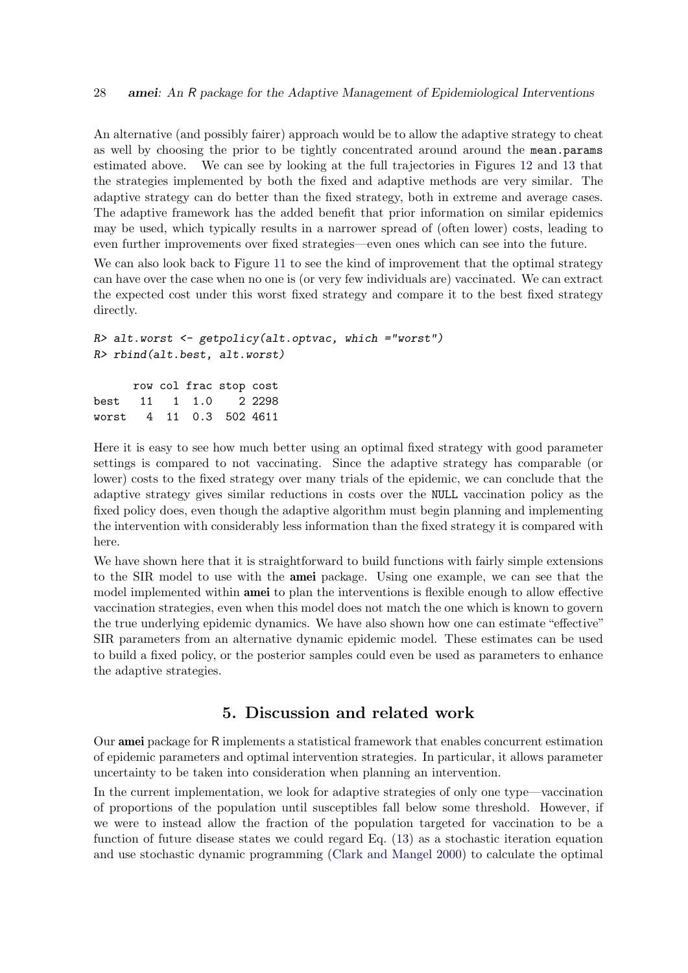An alternative (and possibly fairer) approach would be to allow the adaptive strategy to cheat as well by choosing the prior to be tightly concentrated around around the mean.params estimated above. We can see by looking at the full trajectories in Figures [12](#page-25-0) and [13](#page-26-0) that the strategies implemented by both the fixed and adaptive methods are very similar. The adaptive strategy can do better than the fixed strategy, both in extreme and average cases. The adaptive framework has the added benefit that prior information on similar epidemics may be used, which typically results in a narrower spread of (often lower) costs, leading to even further improvements over fixed strategies—even ones which can see into the future.

We can also look back to Figure [11](#page-24-0) to see the kind of improvement that the optimal strategy can have over the case when no one is (or very few individuals are) vaccinated. We can extract the expected cost under this worst fixed strategy and compare it to the best fixed strategy directly.

```
R> alt.worst <- getpolicy(alt.optvac, which ="worst")
R> rbind(alt.best, alt.worst)
     row col frac stop cost
best 11 1 1.0 2 2298
worst 4 11 0.3 502 4611
```
Here it is easy to see how much better using an optimal fixed strategy with good parameter settings is compared to not vaccinating. Since the adaptive strategy has comparable (or lower) costs to the fixed strategy over many trials of the epidemic, we can conclude that the adaptive strategy gives similar reductions in costs over the NULL vaccination policy as the fixed policy does, even though the adaptive algorithm must begin planning and implementing the intervention with considerably less information than the fixed strategy it is compared with here.

We have shown here that it is straightforward to build functions with fairly simple extensions to the SIR model to use with the amei package. Using one example, we can see that the model implemented within amei to plan the interventions is flexible enough to allow effective vaccination strategies, even when this model does not match the one which is known to govern the true underlying epidemic dynamics. We have also shown how one can estimate "effective" SIR parameters from an alternative dynamic epidemic model. These estimates can be used to build a fixed policy, or the posterior samples could even be used as parameters to enhance the adaptive strategies.

# 5. Discussion and related work

<span id="page-27-0"></span>Our amei package for R implements a statistical framework that enables concurrent estimation of epidemic parameters and optimal intervention strategies. In particular, it allows parameter uncertainty to be taken into consideration when planning an intervention.

In the current implementation, we look for adaptive strategies of only one type—vaccination of proportions of the population until susceptibles fall below some threshold. However, if we were to instead allow the fraction of the population targeted for vaccination to be a function of future disease states we could regard Eq. [\(13\)](#page-5-1) as a stochastic iteration equation and use stochastic dynamic programming [\(Clark and Mangel](#page-30-9) [2000\)](#page-30-9) to calculate the optimal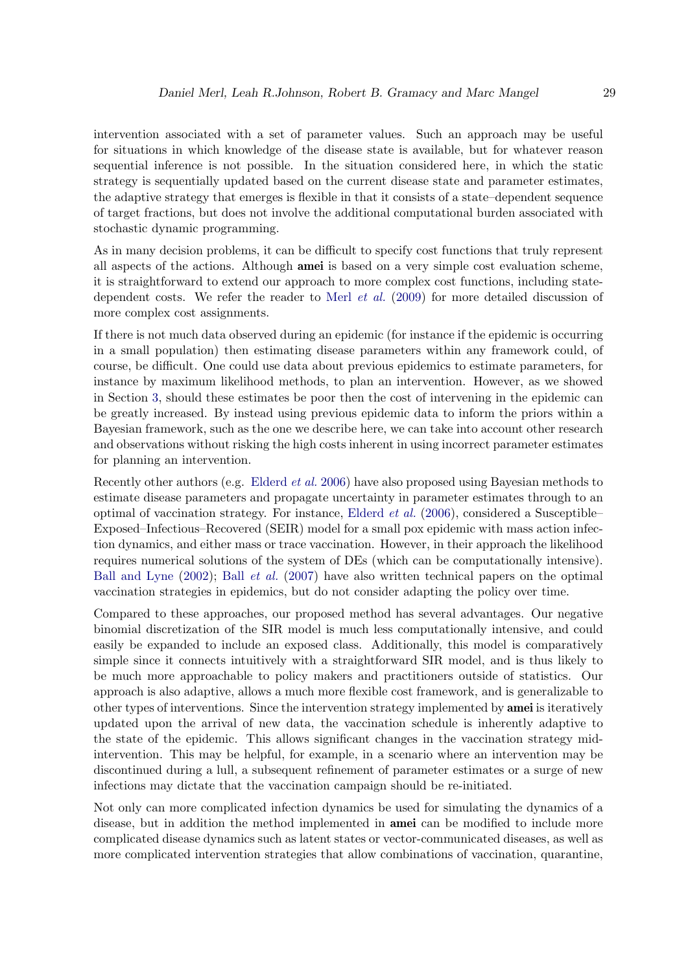intervention associated with a set of parameter values. Such an approach may be useful for situations in which knowledge of the disease state is available, but for whatever reason sequential inference is not possible. In the situation considered here, in which the static strategy is sequentially updated based on the current disease state and parameter estimates, the adaptive strategy that emerges is flexible in that it consists of a state–dependent sequence of target fractions, but does not involve the additional computational burden associated with stochastic dynamic programming.

As in many decision problems, it can be difficult to specify cost functions that truly represent all aspects of the actions. Although amei is based on a very simple cost evaluation scheme, it is straightforward to extend our approach to more complex cost functions, including statedependent costs. We refer the reader to Merl [et al.](#page-31-4) [\(2009\)](#page-31-4) for more detailed discussion of more complex cost assignments.

If there is not much data observed during an epidemic (for instance if the epidemic is occurring in a small population) then estimating disease parameters within any framework could, of course, be difficult. One could use data about previous epidemics to estimate parameters, for instance by maximum likelihood methods, to plan an intervention. However, as we showed in Section [3,](#page-6-0) should these estimates be poor then the cost of intervening in the epidemic can be greatly increased. By instead using previous epidemic data to inform the priors within a Bayesian framework, such as the one we describe here, we can take into account other research and observations without risking the high costs inherent in using incorrect parameter estimates for planning an intervention.

Recently other authors (e.g. [Elderd](#page-30-4) et al. [2006\)](#page-30-4) have also proposed using Bayesian methods to estimate disease parameters and propagate uncertainty in parameter estimates through to an optimal of vaccination strategy. For instance, [Elderd](#page-30-4) et al. [\(2006\)](#page-30-4), considered a Susceptible– Exposed–Infectious–Recovered (SEIR) model for a small pox epidemic with mass action infection dynamics, and either mass or trace vaccination. However, in their approach the likelihood requires numerical solutions of the system of DEs (which can be computationally intensive). [Ball and Lyne](#page-30-3) [\(2002\)](#page-30-3); Ball [et al.](#page-30-10) [\(2007\)](#page-30-10) have also written technical papers on the optimal vaccination strategies in epidemics, but do not consider adapting the policy over time.

Compared to these approaches, our proposed method has several advantages. Our negative binomial discretization of the SIR model is much less computationally intensive, and could easily be expanded to include an exposed class. Additionally, this model is comparatively simple since it connects intuitively with a straightforward SIR model, and is thus likely to be much more approachable to policy makers and practitioners outside of statistics. Our approach is also adaptive, allows a much more flexible cost framework, and is generalizable to other types of interventions. Since the intervention strategy implemented by amei is iteratively updated upon the arrival of new data, the vaccination schedule is inherently adaptive to the state of the epidemic. This allows significant changes in the vaccination strategy midintervention. This may be helpful, for example, in a scenario where an intervention may be discontinued during a lull, a subsequent refinement of parameter estimates or a surge of new infections may dictate that the vaccination campaign should be re-initiated.

Not only can more complicated infection dynamics be used for simulating the dynamics of a disease, but in addition the method implemented in amei can be modified to include more complicated disease dynamics such as latent states or vector-communicated diseases, as well as more complicated intervention strategies that allow combinations of vaccination, quarantine,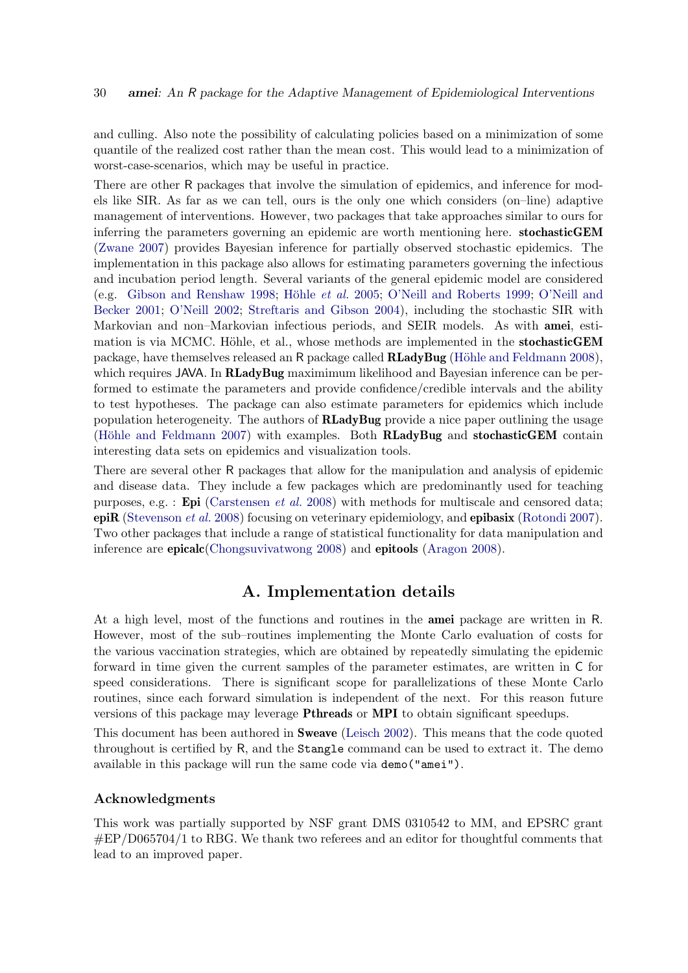and culling. Also note the possibility of calculating policies based on a minimization of some quantile of the realized cost rather than the mean cost. This would lead to a minimization of worst-case-scenarios, which may be useful in practice.

There are other R packages that involve the simulation of epidemics, and inference for models like SIR. As far as we can tell, ours is the only one which considers (on–line) adaptive management of interventions. However, two packages that take approaches similar to ours for inferring the parameters governing an epidemic are worth mentioning here. stochasticGEM [\(Zwane](#page-32-1) [2007\)](#page-32-1) provides Bayesian inference for partially observed stochastic epidemics. The implementation in this package also allows for estimating parameters governing the infectious and incubation period length. Several variants of the general epidemic model are considered (e.g. [Gibson and Renshaw](#page-30-11) [1998;](#page-30-11) Höhle *et al.* [2005;](#page-31-8) [O'Neill and Roberts](#page-31-9) [1999;](#page-31-9) [O'Neill and](#page-31-10) [Becker](#page-31-10) [2001;](#page-31-10) [O'Neill](#page-31-11) [2002;](#page-31-11) [Streftaris and Gibson](#page-32-2) [2004\)](#page-32-2), including the stochastic SIR with Markovian and non–Markovian infectious periods, and SEIR models. As with amei, estimation is via MCMC. Höhle, et al., whose methods are implemented in the stochasticGEM package, have themselves released an R package called **RLadyBug** (Höhle and Feldmann [2008\)](#page-31-12), which requires JAVA. In RLadyBug maximimum likelihood and Bayesian inference can be performed to estimate the parameters and provide confidence/credible intervals and the ability to test hypotheses. The package can also estimate parameters for epidemics which include population heterogeneity. The authors of  $\bf{R}$  LadyBug provide a nice paper outlining the usage (Höhle and Feldmann [2007\)](#page-30-12) with examples. Both RLadyBug and stochasticGEM contain interesting data sets on epidemics and visualization tools.

There are several other R packages that allow for the manipulation and analysis of epidemic and disease data. They include a few packages which are predominantly used for teaching purposes, e.g. : **Epi** [\(Carstensen](#page-30-13) *et al.* [2008\)](#page-30-13) with methods for multiscale and censored data; epiR [\(Stevenson](#page-31-13) et al. [2008\)](#page-31-13) focusing on veterinary epidemiology, and epibasix [\(Rotondi](#page-31-14) [2007\)](#page-31-14). Two other packages that include a range of statistical functionality for data manipulation and inference are epicalc[\(Chongsuvivatwong](#page-30-14) [2008\)](#page-30-14) and epitools [\(Aragon](#page-30-15) [2008\)](#page-30-15).

# A. Implementation details

At a high level, most of the functions and routines in the amei package are written in R. However, most of the sub–routines implementing the Monte Carlo evaluation of costs for the various vaccination strategies, which are obtained by repeatedly simulating the epidemic forward in time given the current samples of the parameter estimates, are written in C for speed considerations. There is significant scope for parallelizations of these Monte Carlo routines, since each forward simulation is independent of the next. For this reason future versions of this package may leverage Pthreads or MPI to obtain significant speedups.

This document has been authored in Sweave [\(Leisch](#page-31-15) [2002\)](#page-31-15). This means that the code quoted throughout is certified by R, and the Stangle command can be used to extract it. The demo available in this package will run the same code via demo("amei").

#### Acknowledgments

This work was partially supported by NSF grant DMS 0310542 to MM, and EPSRC grant  $\rm \#EP/D065704/1$  to RBG. We thank two referees and an editor for thoughtful comments that lead to an improved paper.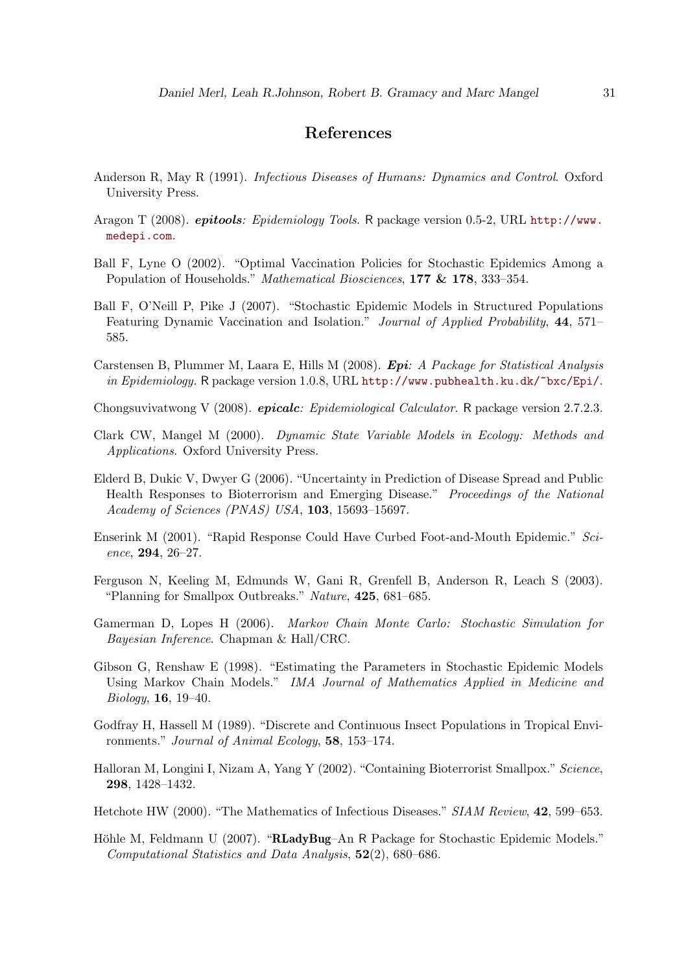# References

- <span id="page-30-5"></span>Anderson R, May R (1991). Infectious Diseases of Humans: Dynamics and Control. Oxford University Press.
- <span id="page-30-15"></span>Aragon T (2008). *epitools: Epidemiology Tools*. R package version 0.5-2, URL [http://www.](http://www.medepi.com) [medepi.com](http://www.medepi.com).
- <span id="page-30-3"></span>Ball F, Lyne O (2002). "Optimal Vaccination Policies for Stochastic Epidemics Among a Population of Households." Mathematical Biosciences, 177 & 178, 333–354.
- <span id="page-30-10"></span>Ball F, O'Neill P, Pike J (2007). "Stochastic Epidemic Models in Structured Populations Featuring Dynamic Vaccination and Isolation." *Journal of Applied Probability*, 44, 571– 585.
- <span id="page-30-13"></span>Carstensen B, Plummer M, Laara E, Hills M (2008). Epi: A Package for Statistical Analysis in Epidemiology. R package version 1.0.8, URL <http://www.pubhealth.ku.dk/~bxc/Epi/>.
- <span id="page-30-14"></span>Chongsuvivatwong V (2008). *epicalc: Epidemiological Calculator*. R package version 2.7.2.3.
- <span id="page-30-9"></span>Clark CW, Mangel M (2000). Dynamic State Variable Models in Ecology: Methods and Applications. Oxford University Press.
- <span id="page-30-4"></span>Elderd B, Dukic V, Dwyer G (2006). "Uncertainty in Prediction of Disease Spread and Public Health Responses to Bioterrorism and Emerging Disease." Proceedings of the National Academy of Sciences (PNAS) USA, 103, 15693–15697.
- <span id="page-30-0"></span>Enserink M (2001). "Rapid Response Could Have Curbed Foot-and-Mouth Epidemic." Science, 294, 26–27.
- <span id="page-30-1"></span>Ferguson N, Keeling M, Edmunds W, Gani R, Grenfell B, Anderson R, Leach S (2003). "Planning for Smallpox Outbreaks." Nature, 425, 681–685.
- <span id="page-30-8"></span>Gamerman D, Lopes H (2006). Markov Chain Monte Carlo: Stochastic Simulation for Bayesian Inference. Chapman & Hall/CRC.
- <span id="page-30-11"></span>Gibson G, Renshaw E (1998). "Estimating the Parameters in Stochastic Epidemic Models Using Markov Chain Models." IMA Journal of Mathematics Applied in Medicine and Biology, 16, 19–40.
- <span id="page-30-7"></span>Godfray H, Hassell M (1989). "Discrete and Continuous Insect Populations in Tropical Environments." Journal of Animal Ecology, 58, 153–174.
- <span id="page-30-2"></span>Halloran M, Longini I, Nizam A, Yang Y (2002). "Containing Bioterrorist Smallpox." Science, 298, 1428–1432.
- <span id="page-30-6"></span>Hetchote HW (2000). "The Mathematics of Infectious Diseases." SIAM Review, 42, 599–653.
- <span id="page-30-12"></span>Höhle M, Feldmann U (2007). "RLadyBug–An R Package for Stochastic Epidemic Models." Computational Statistics and Data Analysis, 52(2), 680–686.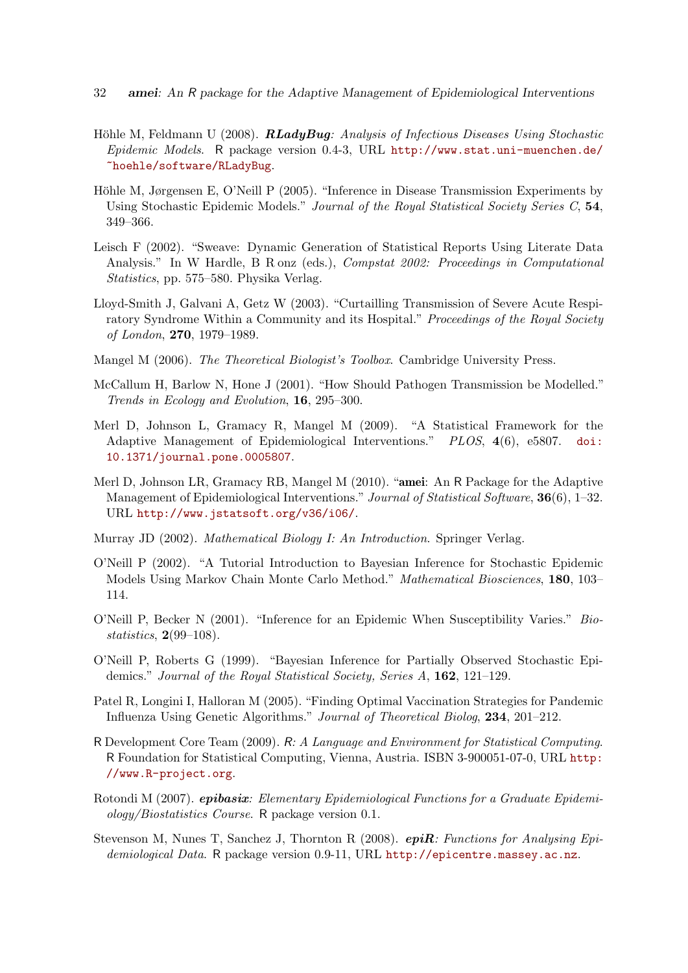- 32 amei: An R package for the Adaptive Management of Epidemiological Interventions
- <span id="page-31-12"></span>Höhle M, Feldmann U (2008).  $\boldsymbol{R} \boldsymbol{L} \boldsymbol{a} \boldsymbol{d} \boldsymbol{y} \boldsymbol{B} \boldsymbol{u} \boldsymbol{g}$ : Analysis of Infectious Diseases Using Stochastic Epidemic Models. R package version 0.4-3, URL [http://www.stat.uni-muenchen.de/](http://www.stat.uni-muenchen.de/~hoehle/software/RLadyBug) [~hoehle/software/RLadyBug](http://www.stat.uni-muenchen.de/~hoehle/software/RLadyBug).
- <span id="page-31-8"></span>Höhle M, Jørgensen E, O'Neill P (2005). "Inference in Disease Transmission Experiments by Using Stochastic Epidemic Models." Journal of the Royal Statistical Society Series C, 54, 349–366.
- <span id="page-31-15"></span>Leisch F (2002). "Sweave: Dynamic Generation of Statistical Reports Using Literate Data Analysis." In W Hardle, B R onz (eds.), Compstat 2002: Proceedings in Computational Statistics, pp. 575–580. Physika Verlag.
- <span id="page-31-1"></span>Lloyd-Smith J, Galvani A, Getz W (2003). "Curtailling Transmission of Severe Acute Respiratory Syndrome Within a Community and its Hospital." Proceedings of the Royal Society of London, 270, 1979–1989.
- <span id="page-31-6"></span>Mangel M (2006). The Theoretical Biologist's Toolbox. Cambridge University Press.
- <span id="page-31-7"></span>McCallum H, Barlow N, Hone J (2001). "How Should Pathogen Transmission be Modelled." Trends in Ecology and Evolution, 16, 295–300.
- <span id="page-31-4"></span>Merl D, Johnson L, Gramacy R, Mangel M (2009). "A Statistical Framework for the Adaptive Management of Epidemiological Interventions." PLOS, 4(6), e5807. [doi:](http://dx.doi.org/10.1371/journal.pone.0005807) [10.1371/journal.pone.0005807](http://dx.doi.org/10.1371/journal.pone.0005807).
- <span id="page-31-0"></span>Merl D, Johnson LR, Gramacy RB, Mangel M (2010). "amei: An R Package for the Adaptive Management of Epidemiological Interventions." Journal of Statistical Software, 36(6), 1-32. URL <http://www.jstatsoft.org/v36/i06/>.
- <span id="page-31-5"></span>Murray JD (2002). Mathematical Biology I: An Introduction. Springer Verlag.
- <span id="page-31-11"></span>O'Neill P (2002). "A Tutorial Introduction to Bayesian Inference for Stochastic Epidemic Models Using Markov Chain Monte Carlo Method." Mathematical Biosciences, 180, 103– 114.
- <span id="page-31-10"></span>O'Neill P, Becker N (2001). "Inference for an Epidemic When Susceptibility Varies." Biostatistics, 2(99–108).
- <span id="page-31-9"></span>O'Neill P, Roberts G (1999). "Bayesian Inference for Partially Observed Stochastic Epidemics." Journal of the Royal Statistical Society, Series A, 162, 121-129.
- <span id="page-31-2"></span>Patel R, Longini I, Halloran M (2005). "Finding Optimal Vaccination Strategies for Pandemic Influenza Using Genetic Algorithms." Journal of Theoretical Biolog, 234, 201–212.
- <span id="page-31-3"></span>R Development Core Team (2009). R: A Language and Environment for Statistical Computing. R Foundation for Statistical Computing, Vienna, Austria. ISBN 3-900051-07-0, URL [http:](http://www.R-project.org) [//www.R-project.org](http://www.R-project.org).
- <span id="page-31-14"></span>Rotondi M (2007). **epibasix:** Elementary Epidemiological Functions for a Graduate Epidemiology/Biostatistics Course. R package version 0.1.
- <span id="page-31-13"></span>Stevenson M, Nunes T, Sanchez J, Thornton R (2008).  $epiR$ : Functions for Analysing Epidemiological Data. R package version 0.9-11, URL <http://epicentre.massey.ac.nz>.